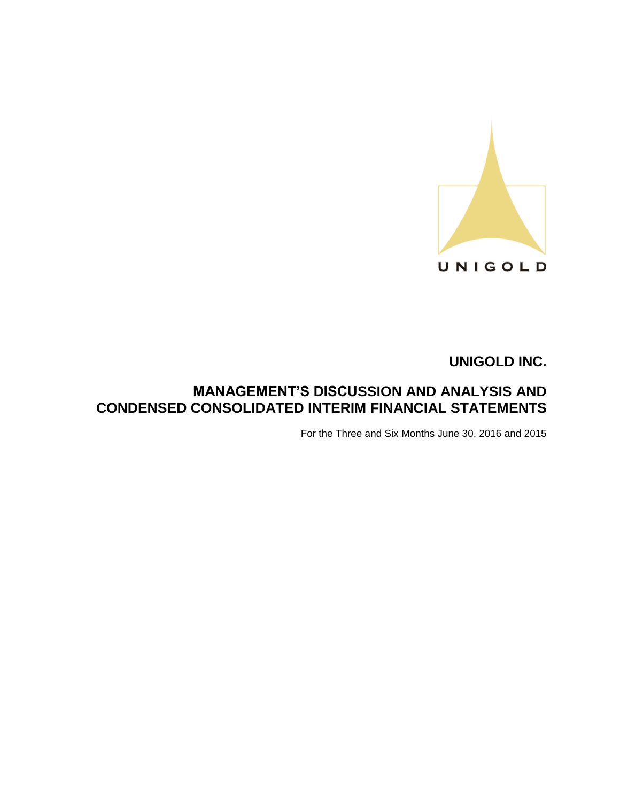

# **MANAGEMENT'S DISCUSSION AND ANALYSIS AND CONDENSED CONSOLIDATED INTERIM FINANCIAL STATEMENTS**

For the Three and Six Months June 30, 2016 and 2015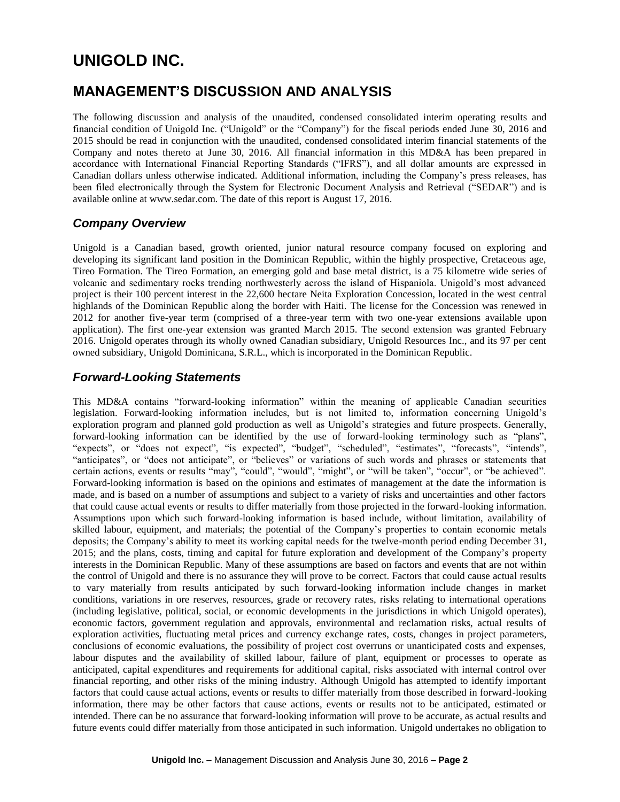# **MANAGEMENT'S DISCUSSION AND ANALYSIS**

The following discussion and analysis of the unaudited, condensed consolidated interim operating results and financial condition of Unigold Inc. ("Unigold" or the "Company") for the fiscal periods ended June 30, 2016 and 2015 should be read in conjunction with the unaudited, condensed consolidated interim financial statements of the Company and notes thereto at June 30, 2016. All financial information in this MD&A has been prepared in accordance with International Financial Reporting Standards ("IFRS"), and all dollar amounts are expressed in Canadian dollars unless otherwise indicated. Additional information, including the Company's press releases, has been filed electronically through the System for Electronic Document Analysis and Retrieval ("SEDAR") and is available online at www.sedar.com. The date of this report is August 17, 2016.

# *Company Overview*

Unigold is a Canadian based, growth oriented, junior natural resource company focused on exploring and developing its significant land position in the Dominican Republic, within the highly prospective, Cretaceous age, Tireo Formation. The Tireo Formation, an emerging gold and base metal district, is a 75 kilometre wide series of volcanic and sedimentary rocks trending northwesterly across the island of Hispaniola. Unigold's most advanced project is their 100 percent interest in the 22,600 hectare Neita Exploration Concession, located in the west central highlands of the Dominican Republic along the border with Haiti. The license for the Concession was renewed in 2012 for another five-year term (comprised of a three-year term with two one-year extensions available upon application). The first one-year extension was granted March 2015. The second extension was granted February 2016. Unigold operates through its wholly owned Canadian subsidiary, Unigold Resources Inc., and its 97 per cent owned subsidiary, Unigold Dominicana, S.R.L., which is incorporated in the Dominican Republic.

### *Forward-Looking Statements*

This MD&A contains "forward-looking information" within the meaning of applicable Canadian securities legislation. Forward-looking information includes, but is not limited to, information concerning Unigold's exploration program and planned gold production as well as Unigold's strategies and future prospects. Generally, forward-looking information can be identified by the use of forward-looking terminology such as "plans", "expects", or "does not expect", "is expected", "budget", "scheduled", "estimates", "forecasts", "intends", "anticipates", or "does not anticipate", or "believes" or variations of such words and phrases or statements that certain actions, events or results "may", "could", "would", "might", or "will be taken", "occur", or "be achieved". Forward-looking information is based on the opinions and estimates of management at the date the information is made, and is based on a number of assumptions and subject to a variety of risks and uncertainties and other factors that could cause actual events or results to differ materially from those projected in the forward-looking information. Assumptions upon which such forward-looking information is based include, without limitation, availability of skilled labour, equipment, and materials; the potential of the Company's properties to contain economic metals deposits; the Company's ability to meet its working capital needs for the twelve-month period ending December 31, 2015; and the plans, costs, timing and capital for future exploration and development of the Company's property interests in the Dominican Republic. Many of these assumptions are based on factors and events that are not within the control of Unigold and there is no assurance they will prove to be correct. Factors that could cause actual results to vary materially from results anticipated by such forward-looking information include changes in market conditions, variations in ore reserves, resources, grade or recovery rates, risks relating to international operations (including legislative, political, social, or economic developments in the jurisdictions in which Unigold operates), economic factors, government regulation and approvals, environmental and reclamation risks, actual results of exploration activities, fluctuating metal prices and currency exchange rates, costs, changes in project parameters, conclusions of economic evaluations, the possibility of project cost overruns or unanticipated costs and expenses, labour disputes and the availability of skilled labour, failure of plant, equipment or processes to operate as anticipated, capital expenditures and requirements for additional capital, risks associated with internal control over financial reporting, and other risks of the mining industry. Although Unigold has attempted to identify important factors that could cause actual actions, events or results to differ materially from those described in forward-looking information, there may be other factors that cause actions, events or results not to be anticipated, estimated or intended. There can be no assurance that forward-looking information will prove to be accurate, as actual results and future events could differ materially from those anticipated in such information. Unigold undertakes no obligation to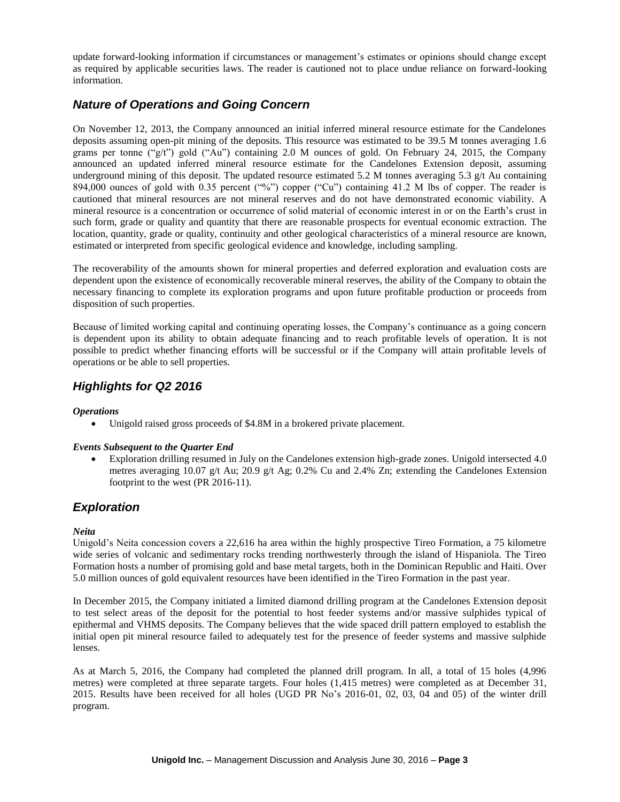update forward-looking information if circumstances or management's estimates or opinions should change except as required by applicable securities laws. The reader is cautioned not to place undue reliance on forward-looking information.

# *Nature of Operations and Going Concern*

On November 12, 2013, the Company announced an initial inferred mineral resource estimate for the Candelones deposits assuming open-pit mining of the deposits. This resource was estimated to be 39.5 M tonnes averaging 1.6 grams per tonne ("g/t") gold ("Au") containing 2.0 M ounces of gold. On February 24, 2015, the Company announced an updated inferred mineral resource estimate for the Candelones Extension deposit, assuming underground mining of this deposit. The updated resource estimated 5.2 M tonnes averaging 5.3  $g/t$  Au containing 894,000 ounces of gold with 0.35 percent ("%") copper ("Cu") containing 41.2 M lbs of copper. The reader is cautioned that mineral resources are not mineral reserves and do not have demonstrated economic viability. A mineral resource is a concentration or occurrence of solid material of economic interest in or on the Earth's crust in such form, grade or quality and quantity that there are reasonable prospects for eventual economic extraction. The location, quantity, grade or quality, continuity and other geological characteristics of a mineral resource are known, estimated or interpreted from specific geological evidence and knowledge, including sampling.

The recoverability of the amounts shown for mineral properties and deferred exploration and evaluation costs are dependent upon the existence of economically recoverable mineral reserves, the ability of the Company to obtain the necessary financing to complete its exploration programs and upon future profitable production or proceeds from disposition of such properties.

Because of limited working capital and continuing operating losses, the Company's continuance as a going concern is dependent upon its ability to obtain adequate financing and to reach profitable levels of operation. It is not possible to predict whether financing efforts will be successful or if the Company will attain profitable levels of operations or be able to sell properties.

# *Highlights for Q2 2016*

### *Operations*

Unigold raised gross proceeds of \$4.8M in a brokered private placement.

### *Events Subsequent to the Quarter End*

 Exploration drilling resumed in July on the Candelones extension high-grade zones. Unigold intersected 4.0 metres averaging 10.07 g/t Au; 20.9 g/t Ag; 0.2% Cu and 2.4% Zn; extending the Candelones Extension footprint to the west (PR 2016-11).

### *Exploration*

### *Neita*

Unigold's Neita concession covers a 22,616 ha area within the highly prospective Tireo Formation, a 75 kilometre wide series of volcanic and sedimentary rocks trending northwesterly through the island of Hispaniola. The Tireo Formation hosts a number of promising gold and base metal targets, both in the Dominican Republic and Haiti. Over 5.0 million ounces of gold equivalent resources have been identified in the Tireo Formation in the past year.

In December 2015, the Company initiated a limited diamond drilling program at the Candelones Extension deposit to test select areas of the deposit for the potential to host feeder systems and/or massive sulphides typical of epithermal and VHMS deposits. The Company believes that the wide spaced drill pattern employed to establish the initial open pit mineral resource failed to adequately test for the presence of feeder systems and massive sulphide lenses.

As at March 5, 2016, the Company had completed the planned drill program. In all, a total of 15 holes (4,996 metres) were completed at three separate targets. Four holes (1,415 metres) were completed as at December 31, 2015. Results have been received for all holes (UGD PR No's 2016-01, 02, 03, 04 and 05) of the winter drill program.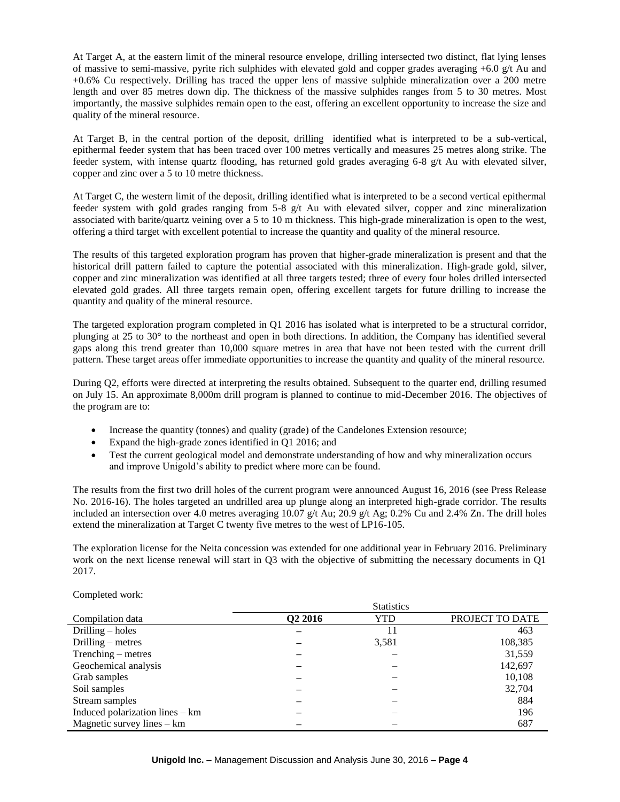At Target A, at the eastern limit of the mineral resource envelope, drilling intersected two distinct, flat lying lenses of massive to semi-massive, pyrite rich sulphides with elevated gold and copper grades averaging  $+6.0$  g/t Au and +0.6% Cu respectively. Drilling has traced the upper lens of massive sulphide mineralization over a 200 metre length and over 85 metres down dip. The thickness of the massive sulphides ranges from 5 to 30 metres. Most importantly, the massive sulphides remain open to the east, offering an excellent opportunity to increase the size and quality of the mineral resource.

At Target B, in the central portion of the deposit, drilling identified what is interpreted to be a sub-vertical, epithermal feeder system that has been traced over 100 metres vertically and measures 25 metres along strike. The feeder system, with intense quartz flooding, has returned gold grades averaging 6-8 g/t Au with elevated silver, copper and zinc over a 5 to 10 metre thickness.

At Target C, the western limit of the deposit, drilling identified what is interpreted to be a second vertical epithermal feeder system with gold grades ranging from 5-8 g/t Au with elevated silver, copper and zinc mineralization associated with barite/quartz veining over a 5 to 10 m thickness. This high-grade mineralization is open to the west, offering a third target with excellent potential to increase the quantity and quality of the mineral resource.

The results of this targeted exploration program has proven that higher-grade mineralization is present and that the historical drill pattern failed to capture the potential associated with this mineralization. High-grade gold, silver, copper and zinc mineralization was identified at all three targets tested; three of every four holes drilled intersected elevated gold grades. All three targets remain open, offering excellent targets for future drilling to increase the quantity and quality of the mineral resource.

The targeted exploration program completed in Q1 2016 has isolated what is interpreted to be a structural corridor, plunging at 25 to 30° to the northeast and open in both directions. In addition, the Company has identified several gaps along this trend greater than 10,000 square metres in area that have not been tested with the current drill pattern. These target areas offer immediate opportunities to increase the quantity and quality of the mineral resource.

During Q2, efforts were directed at interpreting the results obtained. Subsequent to the quarter end, drilling resumed on July 15. An approximate 8,000m drill program is planned to continue to mid-December 2016. The objectives of the program are to:

- Increase the quantity (tonnes) and quality (grade) of the Candelones Extension resource;
- Expand the high-grade zones identified in Q1 2016; and
- Test the current geological model and demonstrate understanding of how and why mineralization occurs and improve Unigold's ability to predict where more can be found.

The results from the first two drill holes of the current program were announced August 16, 2016 (see Press Release No. 2016-16). The holes targeted an undrilled area up plunge along an interpreted high-grade corridor. The results included an intersection over 4.0 metres averaging 10.07 g/t Au; 20.9 g/t Ag; 0.2% Cu and 2.4% Zn. The drill holes extend the mineralization at Target C twenty five metres to the west of LP16-105.

The exploration license for the Neita concession was extended for one additional year in February 2016. Preliminary work on the next license renewal will start in O3 with the objective of submitting the necessary documents in O1 2017.

|                                 | <b>Statistics</b>   |       |                 |  |  |
|---------------------------------|---------------------|-------|-----------------|--|--|
| Compilation data                | Q <sub>2</sub> 2016 | YTD   | PROJECT TO DATE |  |  |
| Drilling $-$ holes              |                     | 11    | 463             |  |  |
| Drilling $-$ metres             |                     | 3,581 | 108,385         |  |  |
| Trenching – metres              |                     |       | 31,559          |  |  |
| Geochemical analysis            |                     |       | 142,697         |  |  |
| Grab samples                    |                     |       | 10,108          |  |  |
| Soil samples                    |                     |       | 32,704          |  |  |
| Stream samples                  |                     |       | 884             |  |  |
| Induced polarization lines – km |                     |       | 196             |  |  |
| Magnetic survey lines $-$ km    |                     |       | 687             |  |  |

Completed work: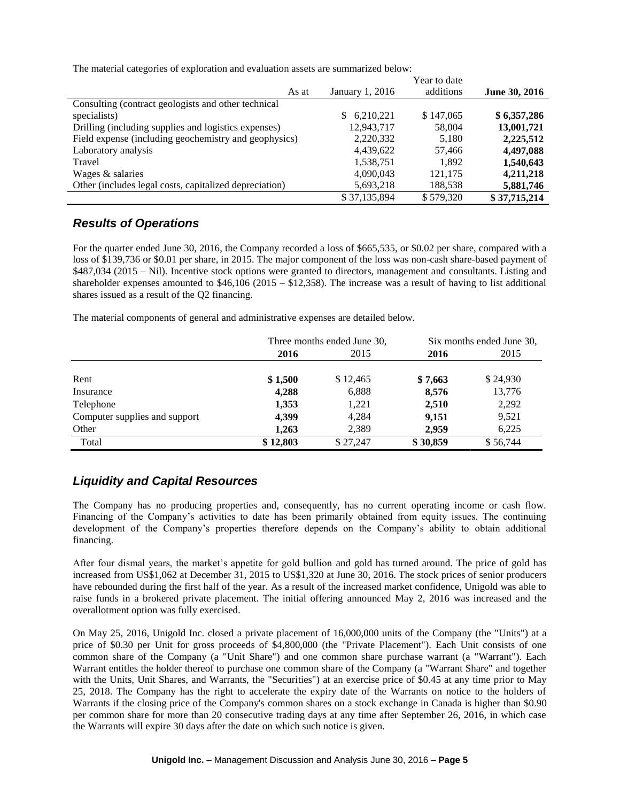The material categories of exploration and evaluation assets are summarized below:

|                                                        |                 | Year to date |               |
|--------------------------------------------------------|-----------------|--------------|---------------|
| As at                                                  | January 1, 2016 | additions    | June 30, 2016 |
| Consulting (contract geologists and other technical    |                 |              |               |
| specialists)                                           | 6,210,221<br>S. | \$147,065    | \$6,357,286   |
| Drilling (including supplies and logistics expenses)   | 12,943,717      | 58,004       | 13,001,721    |
| Field expense (including geochemistry and geophysics)  | 2,220,332       | 5,180        | 2,225,512     |
| Laboratory analysis                                    | 4,439,622       | 57,466       | 4,497,088     |
| Travel                                                 | 1,538,751       | 1.892        | 1,540,643     |
| Wages & salaries                                       | 4,090,043       | 121,175      | 4,211,218     |
| Other (includes legal costs, capitalized depreciation) | 5,693,218       | 188,538      | 5,881,746     |
|                                                        | \$37,135,894    | \$579.320    | \$37,715,214  |

### *Results of Operations*

For the quarter ended June 30, 2016, the Company recorded a loss of \$665,535, or \$0.02 per share, compared with a loss of \$139,736 or \$0.01 per share, in 2015. The major component of the loss was non-cash share-based payment of \$487,034 (2015 – Nil). Incentive stock options were granted to directors, management and consultants. Listing and shareholder expenses amounted to \$46,106 (2015 – \$12,358). The increase was a result of having to list additional shares issued as a result of the Q2 financing.

The material components of general and administrative expenses are detailed below.

|                               | Three months ended June 30, |          |          | Six months ended June 30, |
|-------------------------------|-----------------------------|----------|----------|---------------------------|
|                               | 2016                        | 2015     | 2016     | 2015                      |
|                               |                             |          |          |                           |
| Rent                          | \$1,500                     | \$12,465 | \$7,663  | \$24,930                  |
| Insurance                     | 4,288                       | 6,888    | 8,576    | 13,776                    |
| Telephone                     | 1,353                       | 1,221    | 2,510    | 2,292                     |
| Computer supplies and support | 4,399                       | 4,284    | 9,151    | 9,521                     |
| Other                         | 1,263                       | 2,389    | 2,959    | 6,225                     |
| Total                         | \$12,803                    | \$27,247 | \$30,859 | \$56,744                  |

# *Liquidity and Capital Resources*

The Company has no producing properties and, consequently, has no current operating income or cash flow. Financing of the Company's activities to date has been primarily obtained from equity issues. The continuing development of the Company's properties therefore depends on the Company's ability to obtain additional financing.

After four dismal years, the market's appetite for gold bullion and gold has turned around. The price of gold has increased from US\$1,062 at December 31, 2015 to US\$1,320 at June 30, 2016. The stock prices of senior producers have rebounded during the first half of the year. As a result of the increased market confidence, Unigold was able to raise funds in a brokered private placement. The initial offering announced May 2, 2016 was increased and the overallotment option was fully exercised.

On May 25, 2016, Unigold Inc. closed a private placement of 16,000,000 units of the Company (the "Units") at a price of \$0.30 per Unit for gross proceeds of \$4,800,000 (the "Private Placement"). Each Unit consists of one common share of the Company (a "Unit Share") and one common share purchase warrant (a "Warrant"). Each Warrant entitles the holder thereof to purchase one common share of the Company (a "Warrant Share" and together with the Units, Unit Shares, and Warrants, the "Securities") at an exercise price of \$0.45 at any time prior to May 25, 2018. The Company has the right to accelerate the expiry date of the Warrants on notice to the holders of Warrants if the closing price of the Company's common shares on a stock exchange in Canada is higher than \$0.90 per common share for more than 20 consecutive trading days at any time after September 26, 2016, in which case the Warrants will expire 30 days after the date on which such notice is given.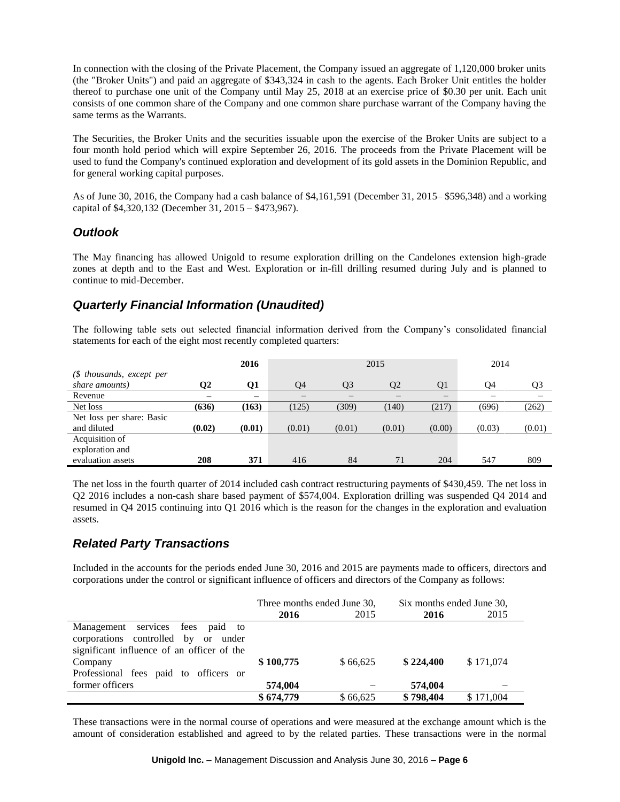In connection with the closing of the Private Placement, the Company issued an aggregate of 1,120,000 broker units (the "Broker Units") and paid an aggregate of \$343,324 in cash to the agents. Each Broker Unit entitles the holder thereof to purchase one unit of the Company until May 25, 2018 at an exercise price of \$0.30 per unit. Each unit consists of one common share of the Company and one common share purchase warrant of the Company having the same terms as the Warrants.

The Securities, the Broker Units and the securities issuable upon the exercise of the Broker Units are subject to a four month hold period which will expire September 26, 2016. The proceeds from the Private Placement will be used to fund the Company's continued exploration and development of its gold assets in the Dominion Republic, and for general working capital purposes.

As of June 30, 2016, the Company had a cash balance of \$4,161,591 (December 31, 2015– \$596,348) and a working capital of \$4,320,132 (December 31, 2015 – \$473,967).

### *Outlook*

The May financing has allowed Unigold to resume exploration drilling on the Candelones extension high-grade zones at depth and to the East and West. Exploration or in-fill drilling resumed during July and is planned to continue to mid-December.

# *Quarterly Financial Information (Unaudited)*

The following table sets out selected financial information derived from the Company's consolidated financial statements for each of the eight most recently completed quarters:

|                            |        | 2016   | 2015   |                |        |        | 2014   |        |
|----------------------------|--------|--------|--------|----------------|--------|--------|--------|--------|
| $$\$ fhousands, except per |        |        |        |                |        |        |        |        |
| share amounts)             | 02     | 01     | O4     | O <sub>3</sub> | 02     | O1     | O4     | Q3     |
| Revenue                    |        | —      |        |                |        |        |        |        |
| Net loss                   | (636)  | (163)  | (125)  | (309)          | (140)  | (217)  | (696)  | (262)  |
| Net loss per share: Basic  |        |        |        |                |        |        |        |        |
| and diluted                | (0.02) | (0.01) | (0.01) | (0.01)         | (0.01) | (0.00) | (0.03) | (0.01) |
| Acquisition of             |        |        |        |                |        |        |        |        |
| exploration and            |        |        |        |                |        |        |        |        |
| evaluation assets          | 208    | 371    | 416    | 84             | 71     | 204    | 547    | 809    |

The net loss in the fourth quarter of 2014 included cash contract restructuring payments of \$430,459. The net loss in Q2 2016 includes a non-cash share based payment of \$574,004. Exploration drilling was suspended Q4 2014 and resumed in Q4 2015 continuing into Q1 2016 which is the reason for the changes in the exploration and evaluation assets.

# *Related Party Transactions*

Included in the accounts for the periods ended June 30, 2016 and 2015 are payments made to officers, directors and corporations under the control or significant influence of officers and directors of the Company as follows:

|                                            | Three months ended June 30, |          | Six months ended June 30, |           |
|--------------------------------------------|-----------------------------|----------|---------------------------|-----------|
|                                            | 2016                        | 2015     | 2016                      | 2015      |
| Management services fees paid to           |                             |          |                           |           |
| corporations controlled by or under        |                             |          |                           |           |
| significant influence of an officer of the |                             |          |                           |           |
| Company                                    | \$100,775                   | \$66,625 | \$224,400                 | \$171,074 |
| Professional fees paid to officers or      |                             |          |                           |           |
| former officers                            | 574,004                     |          | 574,004                   |           |
|                                            | \$674,779                   | \$66,625 | \$798,404                 | \$171,004 |

These transactions were in the normal course of operations and were measured at the exchange amount which is the amount of consideration established and agreed to by the related parties. These transactions were in the normal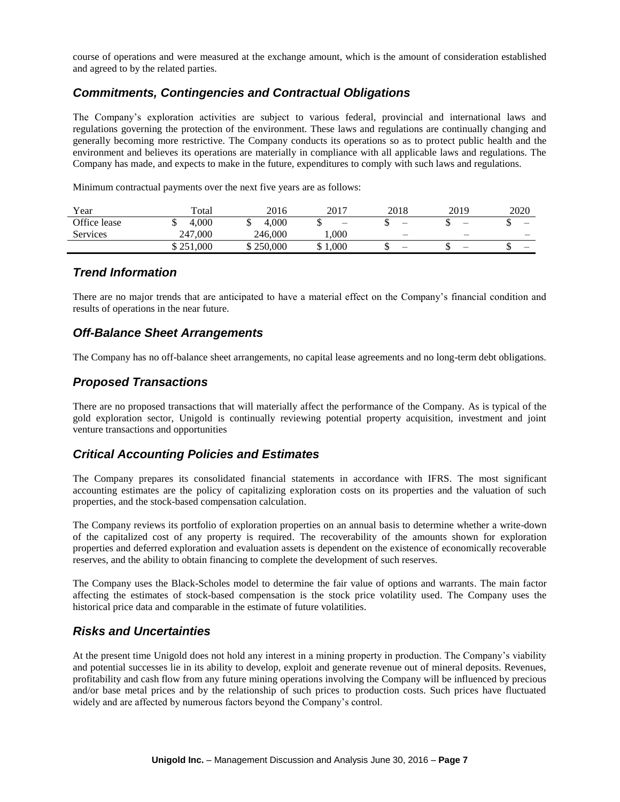course of operations and were measured at the exchange amount, which is the amount of consideration established and agreed to by the related parties.

## *Commitments, Contingencies and Contractual Obligations*

The Company's exploration activities are subject to various federal, provincial and international laws and regulations governing the protection of the environment. These laws and regulations are continually changing and generally becoming more restrictive. The Company conducts its operations so as to protect public health and the environment and believes its operations are materially in compliance with all applicable laws and regulations. The Company has made, and expects to make in the future, expenditures to comply with such laws and regulations.

Minimum contractual payments over the next five years are as follows:

| Year            | Total       | 2016       | 2017       | 2018                     | 2019                     | 2020 |
|-----------------|-------------|------------|------------|--------------------------|--------------------------|------|
| Office lease    | 4.000<br>Ψ  | 4.000<br>Ψ | -          |                          |                          | —    |
| <b>Services</b> | 000.<br>247 | 246.000    | .000       | $\overline{\phantom{m}}$ |                          | —    |
|                 | \$251,000   | \$250,000  | 1,000<br>ഄ |                          | $\overline{\phantom{m}}$ | –    |

### *Trend Information*

There are no major trends that are anticipated to have a material effect on the Company's financial condition and results of operations in the near future.

### *Off-Balance Sheet Arrangements*

The Company has no off-balance sheet arrangements, no capital lease agreements and no long-term debt obligations.

### *Proposed Transactions*

There are no proposed transactions that will materially affect the performance of the Company. As is typical of the gold exploration sector, Unigold is continually reviewing potential property acquisition, investment and joint venture transactions and opportunities

### *Critical Accounting Policies and Estimates*

The Company prepares its consolidated financial statements in accordance with IFRS. The most significant accounting estimates are the policy of capitalizing exploration costs on its properties and the valuation of such properties, and the stock-based compensation calculation.

The Company reviews its portfolio of exploration properties on an annual basis to determine whether a write-down of the capitalized cost of any property is required. The recoverability of the amounts shown for exploration properties and deferred exploration and evaluation assets is dependent on the existence of economically recoverable reserves, and the ability to obtain financing to complete the development of such reserves.

The Company uses the Black-Scholes model to determine the fair value of options and warrants. The main factor affecting the estimates of stock-based compensation is the stock price volatility used. The Company uses the historical price data and comparable in the estimate of future volatilities.

# *Risks and Uncertainties*

At the present time Unigold does not hold any interest in a mining property in production. The Company's viability and potential successes lie in its ability to develop, exploit and generate revenue out of mineral deposits. Revenues, profitability and cash flow from any future mining operations involving the Company will be influenced by precious and/or base metal prices and by the relationship of such prices to production costs. Such prices have fluctuated widely and are affected by numerous factors beyond the Company's control.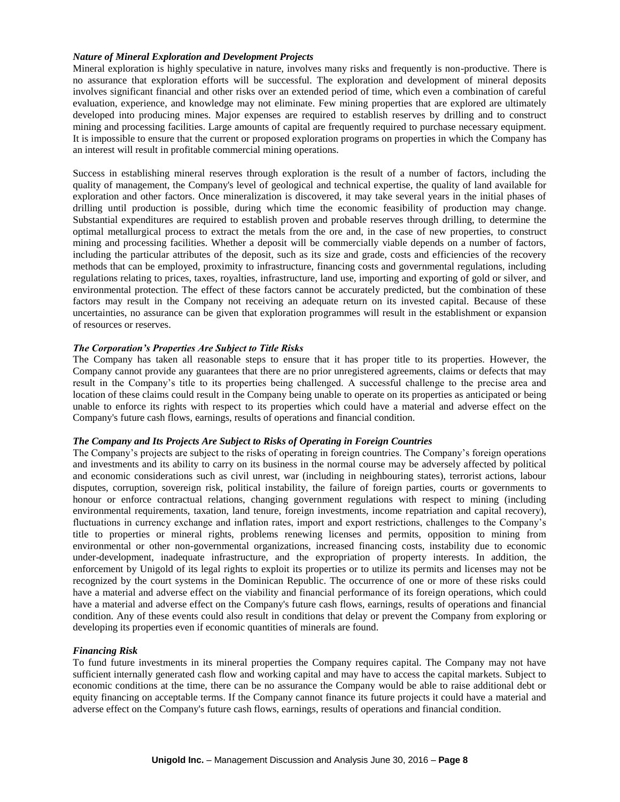#### *Nature of Mineral Exploration and Development Projects*

Mineral exploration is highly speculative in nature, involves many risks and frequently is non-productive. There is no assurance that exploration efforts will be successful. The exploration and development of mineral deposits involves significant financial and other risks over an extended period of time, which even a combination of careful evaluation, experience, and knowledge may not eliminate. Few mining properties that are explored are ultimately developed into producing mines. Major expenses are required to establish reserves by drilling and to construct mining and processing facilities. Large amounts of capital are frequently required to purchase necessary equipment. It is impossible to ensure that the current or proposed exploration programs on properties in which the Company has an interest will result in profitable commercial mining operations.

Success in establishing mineral reserves through exploration is the result of a number of factors, including the quality of management, the Company's level of geological and technical expertise, the quality of land available for exploration and other factors. Once mineralization is discovered, it may take several years in the initial phases of drilling until production is possible, during which time the economic feasibility of production may change. Substantial expenditures are required to establish proven and probable reserves through drilling, to determine the optimal metallurgical process to extract the metals from the ore and, in the case of new properties, to construct mining and processing facilities. Whether a deposit will be commercially viable depends on a number of factors, including the particular attributes of the deposit, such as its size and grade, costs and efficiencies of the recovery methods that can be employed, proximity to infrastructure, financing costs and governmental regulations, including regulations relating to prices, taxes, royalties, infrastructure, land use, importing and exporting of gold or silver, and environmental protection. The effect of these factors cannot be accurately predicted, but the combination of these factors may result in the Company not receiving an adequate return on its invested capital. Because of these uncertainties, no assurance can be given that exploration programmes will result in the establishment or expansion of resources or reserves.

#### *The Corporation's Properties Are Subject to Title Risks*

The Company has taken all reasonable steps to ensure that it has proper title to its properties. However, the Company cannot provide any guarantees that there are no prior unregistered agreements, claims or defects that may result in the Company's title to its properties being challenged. A successful challenge to the precise area and location of these claims could result in the Company being unable to operate on its properties as anticipated or being unable to enforce its rights with respect to its properties which could have a material and adverse effect on the Company's future cash flows, earnings, results of operations and financial condition.

#### *The Company and Its Projects Are Subject to Risks of Operating in Foreign Countries*

The Company's projects are subject to the risks of operating in foreign countries. The Company's foreign operations and investments and its ability to carry on its business in the normal course may be adversely affected by political and economic considerations such as civil unrest, war (including in neighbouring states), terrorist actions, labour disputes, corruption, sovereign risk, political instability, the failure of foreign parties, courts or governments to honour or enforce contractual relations, changing government regulations with respect to mining (including environmental requirements, taxation, land tenure, foreign investments, income repatriation and capital recovery), fluctuations in currency exchange and inflation rates, import and export restrictions, challenges to the Company's title to properties or mineral rights, problems renewing licenses and permits, opposition to mining from environmental or other non-governmental organizations, increased financing costs, instability due to economic under-development, inadequate infrastructure, and the expropriation of property interests. In addition, the enforcement by Unigold of its legal rights to exploit its properties or to utilize its permits and licenses may not be recognized by the court systems in the Dominican Republic. The occurrence of one or more of these risks could have a material and adverse effect on the viability and financial performance of its foreign operations, which could have a material and adverse effect on the Company's future cash flows, earnings, results of operations and financial condition. Any of these events could also result in conditions that delay or prevent the Company from exploring or developing its properties even if economic quantities of minerals are found.

### *Financing Risk*

To fund future investments in its mineral properties the Company requires capital. The Company may not have sufficient internally generated cash flow and working capital and may have to access the capital markets. Subject to economic conditions at the time, there can be no assurance the Company would be able to raise additional debt or equity financing on acceptable terms. If the Company cannot finance its future projects it could have a material and adverse effect on the Company's future cash flows, earnings, results of operations and financial condition.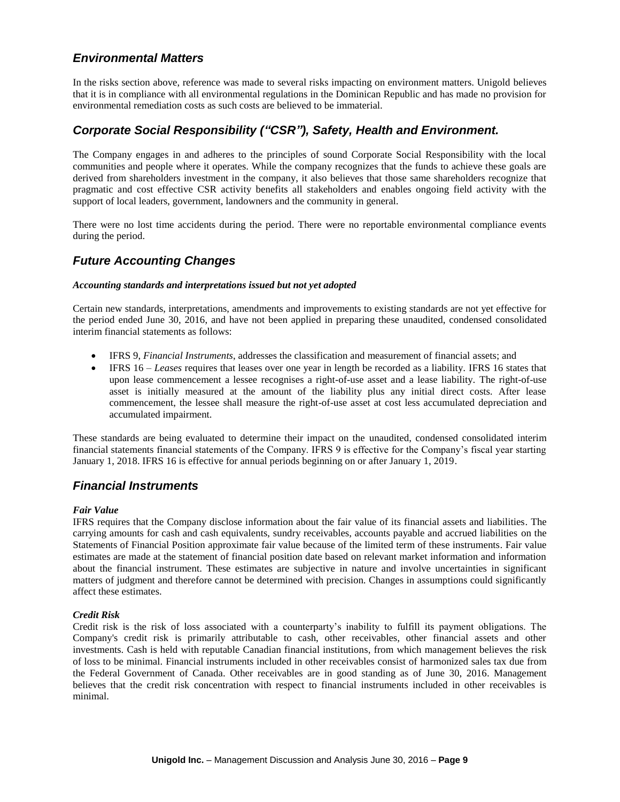# *Environmental Matters*

In the risks section above, reference was made to several risks impacting on environment matters. Unigold believes that it is in compliance with all environmental regulations in the Dominican Republic and has made no provision for environmental remediation costs as such costs are believed to be immaterial.

### *Corporate Social Responsibility ("CSR"), Safety, Health and Environment.*

The Company engages in and adheres to the principles of sound Corporate Social Responsibility with the local communities and people where it operates. While the company recognizes that the funds to achieve these goals are derived from shareholders investment in the company, it also believes that those same shareholders recognize that pragmatic and cost effective CSR activity benefits all stakeholders and enables ongoing field activity with the support of local leaders, government, landowners and the community in general.

There were no lost time accidents during the period. There were no reportable environmental compliance events during the period.

### *Future Accounting Changes*

#### *Accounting standards and interpretations issued but not yet adopted*

Certain new standards, interpretations, amendments and improvements to existing standards are not yet effective for the period ended June 30, 2016, and have not been applied in preparing these unaudited, condensed consolidated interim financial statements as follows:

- IFRS 9, *Financial Instruments*, addresses the classification and measurement of financial assets; and
- IFRS 16 *Leases* requires that leases over one year in length be recorded as a liability. IFRS 16 states that upon lease commencement a lessee recognises a right-of-use asset and a lease liability. The right-of-use asset is initially measured at the amount of the liability plus any initial direct costs. After lease commencement, the lessee shall measure the right-of-use asset at cost less accumulated depreciation and accumulated impairment.

These standards are being evaluated to determine their impact on the unaudited, condensed consolidated interim financial statements financial statements of the Company. IFRS 9 is effective for the Company's fiscal year starting January 1, 2018. IFRS 16 is effective for annual periods beginning on or after January 1, 2019.

### *Financial Instruments*

#### *Fair Value*

IFRS requires that the Company disclose information about the fair value of its financial assets and liabilities. The carrying amounts for cash and cash equivalents, sundry receivables, accounts payable and accrued liabilities on the Statements of Financial Position approximate fair value because of the limited term of these instruments. Fair value estimates are made at the statement of financial position date based on relevant market information and information about the financial instrument. These estimates are subjective in nature and involve uncertainties in significant matters of judgment and therefore cannot be determined with precision. Changes in assumptions could significantly affect these estimates.

#### *Credit Risk*

Credit risk is the risk of loss associated with a counterparty's inability to fulfill its payment obligations. The Company's credit risk is primarily attributable to cash, other receivables, other financial assets and other investments. Cash is held with reputable Canadian financial institutions, from which management believes the risk of loss to be minimal. Financial instruments included in other receivables consist of harmonized sales tax due from the Federal Government of Canada. Other receivables are in good standing as of June 30, 2016. Management believes that the credit risk concentration with respect to financial instruments included in other receivables is minimal.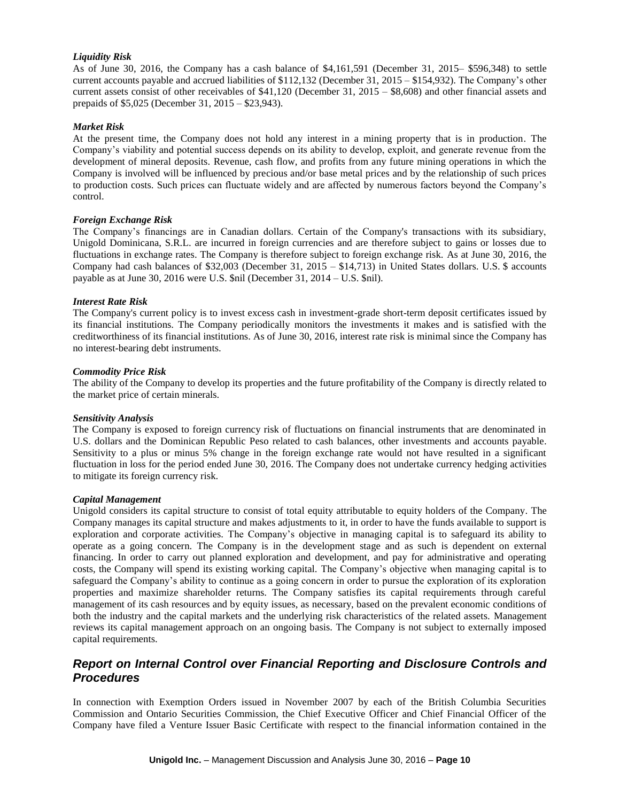#### *Liquidity Risk*

As of June 30, 2016, the Company has a cash balance of \$4,161,591 (December 31, 2015– \$596,348) to settle current accounts payable and accrued liabilities of \$112,132 (December 31, 2015 – \$154,932). The Company's other current assets consist of other receivables of \$41,120 (December 31, 2015 – \$8,608) and other financial assets and prepaids of \$5,025 (December 31, 2015 – \$23,943).

#### *Market Risk*

At the present time, the Company does not hold any interest in a mining property that is in production. The Company's viability and potential success depends on its ability to develop, exploit, and generate revenue from the development of mineral deposits. Revenue, cash flow, and profits from any future mining operations in which the Company is involved will be influenced by precious and/or base metal prices and by the relationship of such prices to production costs. Such prices can fluctuate widely and are affected by numerous factors beyond the Company's control.

#### *Foreign Exchange Risk*

The Company's financings are in Canadian dollars. Certain of the Company's transactions with its subsidiary, Unigold Dominicana, S.R.L. are incurred in foreign currencies and are therefore subject to gains or losses due to fluctuations in exchange rates. The Company is therefore subject to foreign exchange risk. As at June 30, 2016, the Company had cash balances of \$32,003 (December 31, 2015 – \$14,713) in United States dollars. U.S. \$ accounts payable as at June 30, 2016 were U.S. \$nil (December 31, 2014 – U.S. \$nil).

#### *Interest Rate Risk*

The Company's current policy is to invest excess cash in investment-grade short-term deposit certificates issued by its financial institutions. The Company periodically monitors the investments it makes and is satisfied with the creditworthiness of its financial institutions. As of June 30, 2016, interest rate risk is minimal since the Company has no interest-bearing debt instruments.

#### *Commodity Price Risk*

The ability of the Company to develop its properties and the future profitability of the Company is directly related to the market price of certain minerals.

#### *Sensitivity Analysis*

The Company is exposed to foreign currency risk of fluctuations on financial instruments that are denominated in U.S. dollars and the Dominican Republic Peso related to cash balances, other investments and accounts payable. Sensitivity to a plus or minus 5% change in the foreign exchange rate would not have resulted in a significant fluctuation in loss for the period ended June 30, 2016. The Company does not undertake currency hedging activities to mitigate its foreign currency risk.

#### *Capital Management*

Unigold considers its capital structure to consist of total equity attributable to equity holders of the Company. The Company manages its capital structure and makes adjustments to it, in order to have the funds available to support is exploration and corporate activities. The Company's objective in managing capital is to safeguard its ability to operate as a going concern. The Company is in the development stage and as such is dependent on external financing. In order to carry out planned exploration and development, and pay for administrative and operating costs, the Company will spend its existing working capital. The Company's objective when managing capital is to safeguard the Company's ability to continue as a going concern in order to pursue the exploration of its exploration properties and maximize shareholder returns. The Company satisfies its capital requirements through careful management of its cash resources and by equity issues, as necessary, based on the prevalent economic conditions of both the industry and the capital markets and the underlying risk characteristics of the related assets. Management reviews its capital management approach on an ongoing basis. The Company is not subject to externally imposed capital requirements.

### *Report on Internal Control over Financial Reporting and Disclosure Controls and Procedures*

In connection with Exemption Orders issued in November 2007 by each of the British Columbia Securities Commission and Ontario Securities Commission, the Chief Executive Officer and Chief Financial Officer of the Company have filed a Venture Issuer Basic Certificate with respect to the financial information contained in the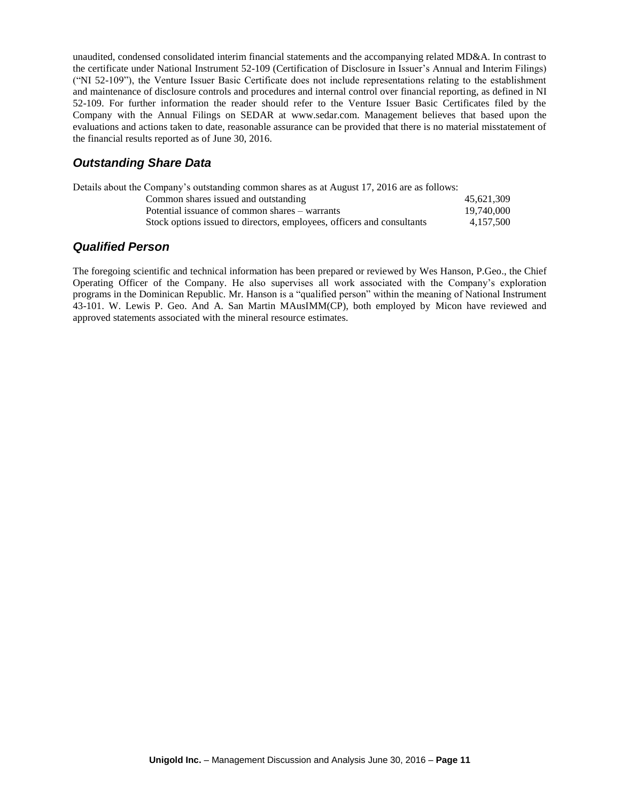unaudited, condensed consolidated interim financial statements and the accompanying related MD&A. In contrast to the certificate under National Instrument 52-109 (Certification of Disclosure in Issuer's Annual and Interim Filings) ("NI 52-109"), the Venture Issuer Basic Certificate does not include representations relating to the establishment and maintenance of disclosure controls and procedures and internal control over financial reporting, as defined in NI 52-109. For further information the reader should refer to the Venture Issuer Basic Certificates filed by the Company with the Annual Filings on SEDAR at www.sedar.com. Management believes that based upon the evaluations and actions taken to date, reasonable assurance can be provided that there is no material misstatement of the financial results reported as of June 30, 2016.

## *Outstanding Share Data*

| Details about the Company's outstanding common shares as at August 17, 2016 are as follows: |            |
|---------------------------------------------------------------------------------------------|------------|
| Common shares issued and outstanding                                                        | 45.621.309 |
| Potential issuance of common shares – warrants                                              | 19,740,000 |
| Stock options issued to directors, employees, officers and consultants                      | 4.157.500  |
|                                                                                             |            |

### *Qualified Person*

The foregoing scientific and technical information has been prepared or reviewed by Wes Hanson, P.Geo., the Chief Operating Officer of the Company. He also supervises all work associated with the Company's exploration programs in the Dominican Republic. Mr. Hanson is a "qualified person" within the meaning of National Instrument 43-101. W. Lewis P. Geo. And A. San Martin MAusIMM(CP), both employed by Micon have reviewed and approved statements associated with the mineral resource estimates.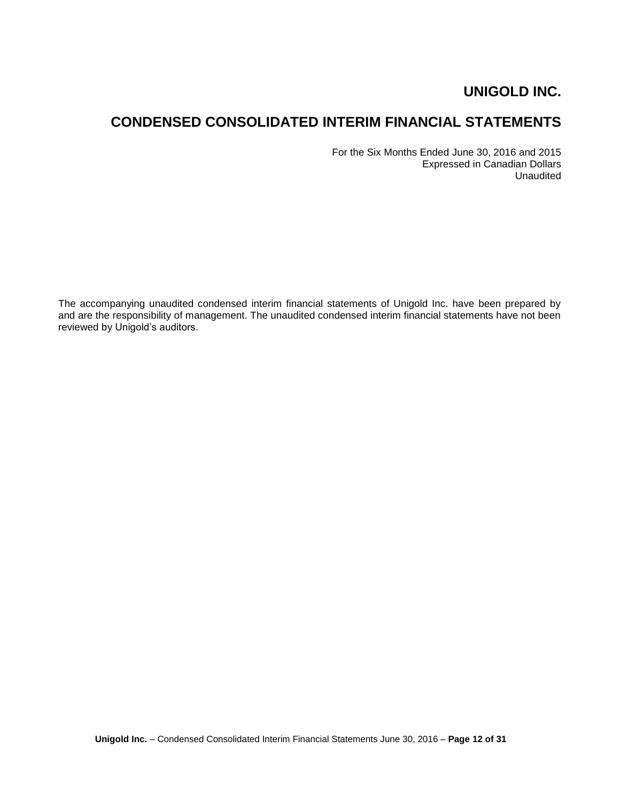# **CONDENSED CONSOLIDATED INTERIM FINANCIAL STATEMENTS**

For the Six Months Ended June 30, 2016 and 2015 Expressed in Canadian Dollars Unaudited

The accompanying unaudited condensed interim financial statements of Unigold Inc. have been prepared by and are the responsibility of management. The unaudited condensed interim financial statements have not been reviewed by Unigold's auditors.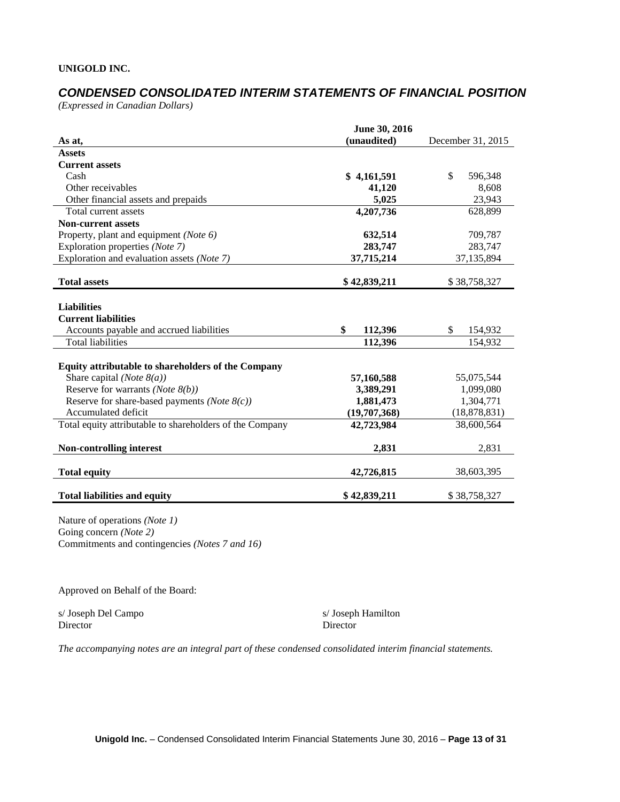# *CONDENSED CONSOLIDATED INTERIM STATEMENTS OF FINANCIAL POSITION*

*(Expressed in Canadian Dollars)*

|                                                          | June 30, 2016 |                   |
|----------------------------------------------------------|---------------|-------------------|
| As at,                                                   | (unaudited)   | December 31, 2015 |
| <b>Assets</b>                                            |               |                   |
| <b>Current assets</b>                                    |               |                   |
| Cash                                                     | \$4,161,591   | \$<br>596,348     |
| Other receivables                                        | 41,120        | 8,608             |
| Other financial assets and prepaids                      | 5,025         | 23,943            |
| Total current assets                                     | 4,207,736     | 628,899           |
| <b>Non-current assets</b>                                |               |                   |
| Property, plant and equipment (Note 6)                   | 632,514       | 709,787           |
| Exploration properties (Note 7)                          | 283,747       | 283,747           |
| Exploration and evaluation assets (Note 7)               | 37,715,214    | 37,135,894        |
|                                                          |               |                   |
| <b>Total assets</b>                                      | \$42,839,211  | \$38,758,327      |
|                                                          |               |                   |
| <b>Liabilities</b>                                       |               |                   |
| <b>Current liabilities</b>                               |               |                   |
| Accounts payable and accrued liabilities                 | \$<br>112,396 | \$<br>154,932     |
| <b>Total liabilities</b>                                 | 112,396       | 154,932           |
|                                                          |               |                   |
| Equity attributable to shareholders of the Company       |               |                   |
| Share capital ( <i>Note</i> $8(a)$ )                     | 57,160,588    | 55,075,544        |
| Reserve for warrants (Note $8(b)$ )                      | 3,389,291     | 1,099,080         |
| Reserve for share-based payments ( <i>Note</i> $8(c)$ )  | 1,881,473     | 1,304,771         |
| Accumulated deficit                                      | (19,707,368)  | (18, 878, 831)    |
| Total equity attributable to shareholders of the Company | 42,723,984    | 38,600,564        |
|                                                          |               |                   |
| <b>Non-controlling interest</b>                          | 2,831         | 2,831             |
|                                                          |               |                   |
| <b>Total equity</b>                                      | 42,726,815    | 38,603,395        |
| <b>Total liabilities and equity</b>                      | \$42,839,211  | \$38,758,327      |

Nature of operations *(Note 1)* Going concern *(Note 2)* Commitments and contingencies *(Notes 7 and 16)*

Approved on Behalf of the Board:

s/ Joseph Del Campo s/ Joseph Hamilton Director Director

*The accompanying notes are an integral part of these condensed consolidated interim financial statements.*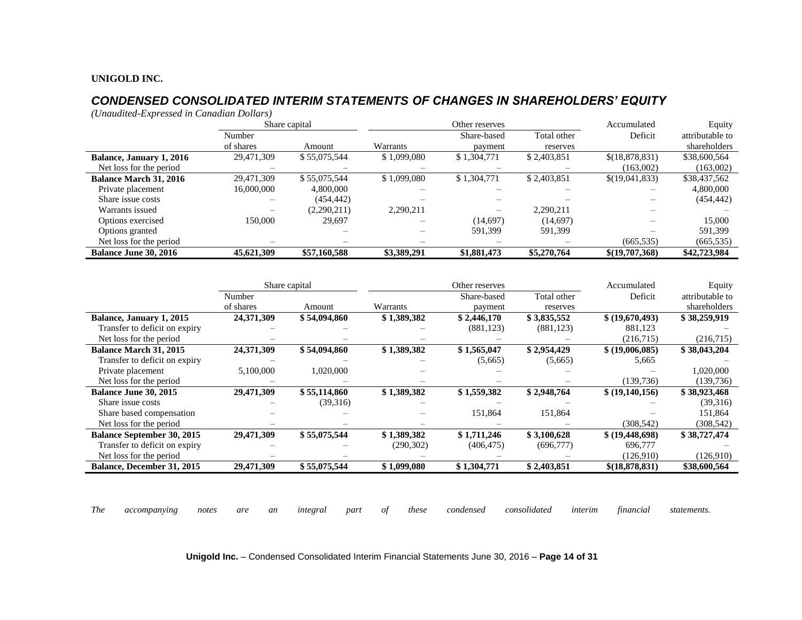# *CONDENSED CONSOLIDATED INTERIM STATEMENTS OF CHANGES IN SHAREHOLDERS' EQUITY*

*(Unaudited-Expressed in Canadian Dollars)*

|                                 |            | Share capital |             | Other reserves           |             |                | Equity          |
|---------------------------------|------------|---------------|-------------|--------------------------|-------------|----------------|-----------------|
|                                 | Number     |               |             | Share-based              | Total other | Deficit        | attributable to |
|                                 | of shares  | Amount        | Warrants    | payment                  | reserves    |                | shareholders    |
| <b>Balance, January 1, 2016</b> | 29,471,309 | \$55,075,544  | \$1,099,080 | \$1,304,771              | \$2,403,851 | \$(18,878,831) | \$38,600,564    |
| Net loss for the period         | -          |               |             |                          |             | (163,002)      | (163,002)       |
| <b>Balance March 31, 2016</b>   | 29,471,309 | \$55,075,544  | \$1,099,080 | \$1,304,771              | \$2,403,851 | \$(19,041,833) | \$38,437,562    |
| Private placement               | 16,000,000 | 4,800,000     |             |                          |             |                | 4,800,000       |
| Share issue costs               |            | (454, 442)    |             |                          |             |                | (454, 442)      |
| Warrants issued                 |            | (2,290,211)   | 2,290,211   | $\overline{\phantom{0}}$ | 2,290,211   |                |                 |
| Options exercised               | 150,000    | 29,697        | -           | (14,697)                 | (14,697)    |                | 15,000          |
| Options granted                 |            |               |             | 591,399                  | 591,399     |                | 591,399         |
| Net loss for the period         |            |               |             |                          |             | (665, 535)     | (665, 535)      |
| <b>Balance June 30, 2016</b>    | 45,621,309 | \$57,160,588  | \$3,389,291 | \$1,881,473              | \$5,270,764 | \$(19,707,368) | \$42,723,984    |

|                                   |            | Share capital | Other reserves |             |             | Accumulated       | Equity          |
|-----------------------------------|------------|---------------|----------------|-------------|-------------|-------------------|-----------------|
|                                   | Number     |               |                | Share-based | Total other | Deficit           | attributable to |
|                                   | of shares  | Amount        | Warrants       | payment     | reserves    |                   | shareholders    |
| Balance, January 1, 2015          | 24,371,309 | \$54,094,860  | \$1,389,382    | \$2,446,170 | \$3,835,552 | \$ (19,670,493)   | \$38,259,919    |
| Transfer to deficit on expiry     |            |               |                | (881, 123)  | (881, 123)  | 881,123           |                 |
| Net loss for the period           |            |               |                |             |             | (216,715)         | (216,715)       |
| <b>Balance March 31, 2015</b>     | 24,371,309 | \$54,094,860  | \$1,389,382    | \$1,565,047 | \$2,954,429 | \$ (19,006,085)   | \$38,043,204    |
| Transfer to deficit on expiry     |            |               |                | (5,665)     | (5,665)     | 5,665             |                 |
| Private placement                 | 5,100,000  | 1,020,000     |                |             |             |                   | 1,020,000       |
| Net loss for the period           |            |               |                |             |             | (139, 736)        | (139, 736)      |
| <b>Balance June 30, 2015</b>      | 29,471,309 | \$55,114,860  | \$1,389,382    | \$1,559,382 | \$2,948,764 | \$(19,140,156)    | \$38,923,468    |
| Share issue costs                 |            | (39,316)      |                |             |             |                   | (39,316)        |
| Share based compensation          |            |               |                | 151,864     | 151,864     |                   | 151,864         |
| Net loss for the period           |            |               |                |             |             | (308, 542)        | (308, 542)      |
| <b>Balance September 30, 2015</b> | 29,471,309 | \$55,075,544  | \$1,389,382    | \$1,711,246 | \$3,100,628 | \$ (19, 448, 698) | \$38,727,474    |
| Transfer to deficit on expiry     |            |               | (290, 302)     | (406, 475)  | (696, 777)  | 696,777           |                 |
| Net loss for the period           |            |               |                |             |             | (126,910)         | (126,910)       |
| Balance, December 31, 2015        | 29,471,309 | \$55,075,544  | \$1,099,080    | \$1,304,771 | \$2,403,851 | \$ (18,878,831)   | \$38,600,564    |

*The accompanying notes are an integral part of these condensed consolidated interim financial statements.*

**Unigold Inc.** – Condensed Consolidated Interim Financial Statements June 30, 2016 – **Page 14 of 31**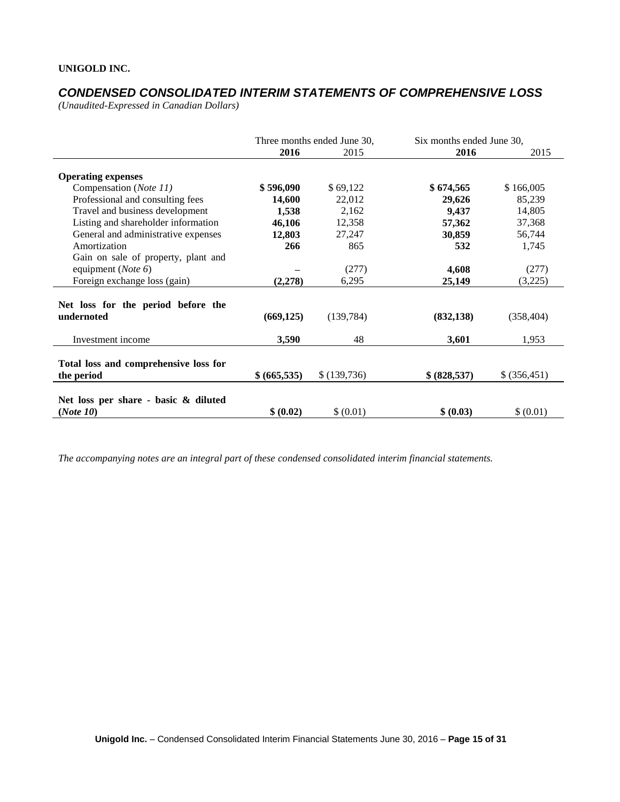# *CONDENSED CONSOLIDATED INTERIM STATEMENTS OF COMPREHENSIVE LOSS*

*(Unaudited-Expressed in Canadian Dollars)* 

|                                                     | Three months ended June 30, |             | Six months ended June 30, |               |
|-----------------------------------------------------|-----------------------------|-------------|---------------------------|---------------|
|                                                     | 2016                        | 2015        | 2016                      | 2015          |
| <b>Operating expenses</b>                           |                             |             |                           |               |
| Compensation (Note 11)                              | \$596,090                   | \$69,122    | \$674,565                 | \$166,005     |
| Professional and consulting fees                    | 14,600                      | 22,012      | 29,626                    | 85,239        |
| Travel and business development                     | 1,538                       | 2,162       | 9,437                     | 14,805        |
| Listing and shareholder information                 | 46,106                      | 12,358      | 57,362                    | 37,368        |
| General and administrative expenses                 | 12,803                      | 27,247      | 30,859                    | 56,744        |
| Amortization                                        | 266                         | 865         | 532                       | 1,745         |
| Gain on sale of property, plant and                 |                             |             |                           |               |
| equipment ( <i>Note</i> $6$ )                       |                             | (277)       | 4,608                     | (277)         |
| Foreign exchange loss (gain)                        | (2, 278)                    | 6,295       | 25,149                    | (3,225)       |
|                                                     |                             |             |                           |               |
| Net loss for the period before the<br>undernoted    | (669, 125)                  | (139, 784)  | (832, 138)                | (358, 404)    |
| Investment income                                   | 3,590                       | 48          | 3,601                     | 1,953         |
| Total loss and comprehensive loss for<br>the period | \$(665,535)                 | \$(139,736) | \$ (828,537)              | \$ (356, 451) |
| Net loss per share - basic & diluted<br>(Note 10)   | \$ (0.02)                   | \$ (0.01)   | \$ (0.03)                 | \$ (0.01)     |

*The accompanying notes are an integral part of these condensed consolidated interim financial statements.*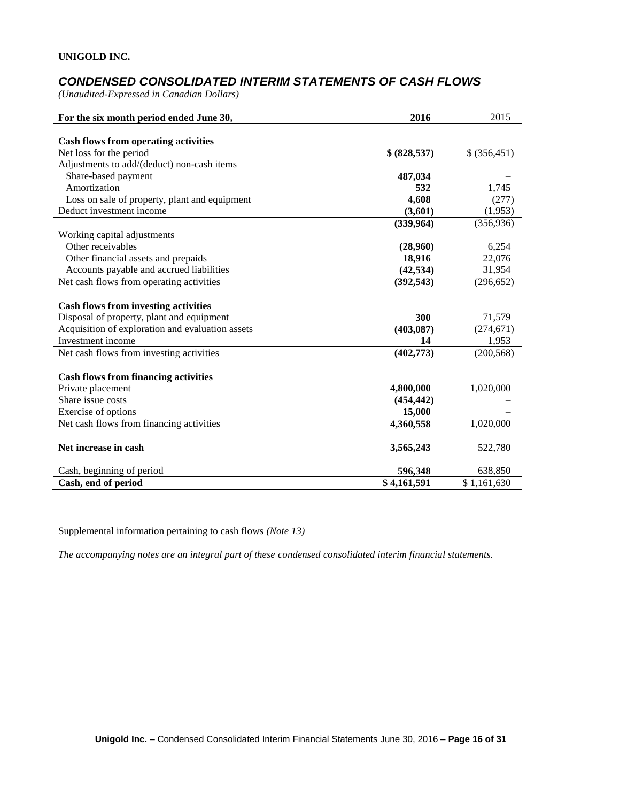# *CONDENSED CONSOLIDATED INTERIM STATEMENTS OF CASH FLOWS*

*(Unaudited-Expressed in Canadian Dollars)* 

| For the six month period ended June 30,          | 2016         | 2015          |
|--------------------------------------------------|--------------|---------------|
|                                                  |              |               |
| <b>Cash flows from operating activities</b>      |              |               |
| Net loss for the period                          | \$ (828,537) | \$ (356, 451) |
| Adjustments to add/(deduct) non-cash items       |              |               |
| Share-based payment                              | 487,034      |               |
| Amortization                                     | 532          | 1,745         |
| Loss on sale of property, plant and equipment    | 4,608        | (277)         |
| Deduct investment income                         | (3,601)      | (1,953)       |
|                                                  | (339,964)    | (356, 936)    |
| Working capital adjustments                      |              |               |
| Other receivables                                | (28,960)     | 6,254         |
| Other financial assets and prepaids              | 18,916       | 22,076        |
| Accounts payable and accrued liabilities         | (42, 534)    | 31,954        |
| Net cash flows from operating activities         | (392, 543)   | (296, 652)    |
|                                                  |              |               |
| <b>Cash flows from investing activities</b>      |              |               |
| Disposal of property, plant and equipment        | 300          | 71,579        |
| Acquisition of exploration and evaluation assets | (403, 087)   | (274, 671)    |
| Investment income                                | 14           | 1,953         |
| Net cash flows from investing activities         | (402, 773)   | (200, 568)    |
|                                                  |              |               |
| <b>Cash flows from financing activities</b>      |              |               |
| Private placement                                | 4,800,000    | 1,020,000     |
| Share issue costs                                | (454, 442)   |               |
| Exercise of options                              | 15,000       |               |
| Net cash flows from financing activities         | 4,360,558    | 1,020,000     |
|                                                  |              |               |
| Net increase in cash                             | 3,565,243    | 522,780       |
| Cash, beginning of period                        | 596,348      | 638,850       |
| Cash, end of period                              | \$4,161,591  | \$1,161,630   |

Supplemental information pertaining to cash flows *(Note 13)*

*The accompanying notes are an integral part of these condensed consolidated interim financial statements.*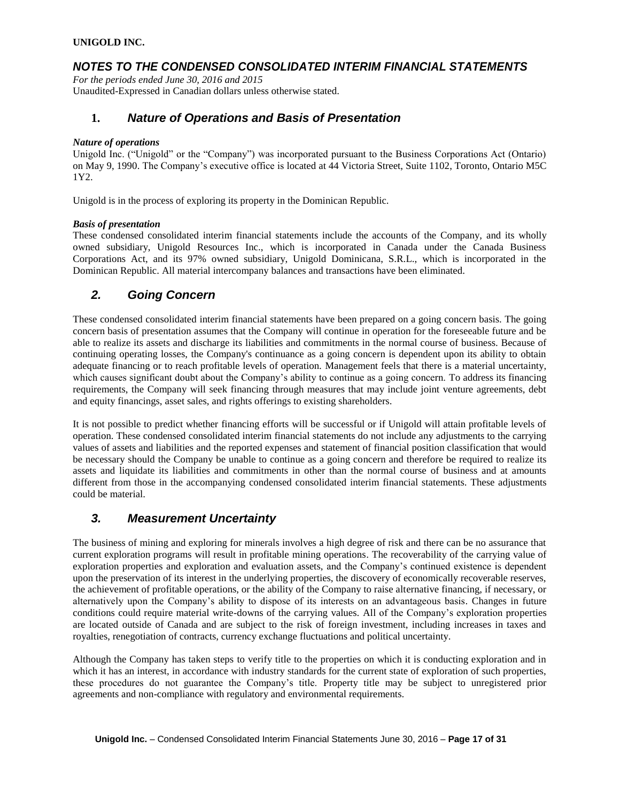## *NOTES TO THE CONDENSED CONSOLIDATED INTERIM FINANCIAL STATEMENTS*

*For the periods ended June 30, 2016 and 2015* Unaudited-Expressed in Canadian dollars unless otherwise stated.

### **1.** *Nature of Operations and Basis of Presentation*

#### *Nature of operations*

Unigold Inc. ("Unigold" or the "Company") was incorporated pursuant to the Business Corporations Act (Ontario) on May 9, 1990. The Company's executive office is located at 44 Victoria Street, Suite 1102, Toronto, Ontario M5C 1Y2.

Unigold is in the process of exploring its property in the Dominican Republic.

#### *Basis of presentation*

These condensed consolidated interim financial statements include the accounts of the Company, and its wholly owned subsidiary, Unigold Resources Inc., which is incorporated in Canada under the Canada Business Corporations Act, and its 97% owned subsidiary, Unigold Dominicana, S.R.L., which is incorporated in the Dominican Republic. All material intercompany balances and transactions have been eliminated.

### *2. Going Concern*

These condensed consolidated interim financial statements have been prepared on a going concern basis. The going concern basis of presentation assumes that the Company will continue in operation for the foreseeable future and be able to realize its assets and discharge its liabilities and commitments in the normal course of business. Because of continuing operating losses, the Company's continuance as a going concern is dependent upon its ability to obtain adequate financing or to reach profitable levels of operation. Management feels that there is a material uncertainty, which causes significant doubt about the Company's ability to continue as a going concern. To address its financing requirements, the Company will seek financing through measures that may include joint venture agreements, debt and equity financings, asset sales, and rights offerings to existing shareholders.

It is not possible to predict whether financing efforts will be successful or if Unigold will attain profitable levels of operation. These condensed consolidated interim financial statements do not include any adjustments to the carrying values of assets and liabilities and the reported expenses and statement of financial position classification that would be necessary should the Company be unable to continue as a going concern and therefore be required to realize its assets and liquidate its liabilities and commitments in other than the normal course of business and at amounts different from those in the accompanying condensed consolidated interim financial statements. These adjustments could be material.

### *3. Measurement Uncertainty*

The business of mining and exploring for minerals involves a high degree of risk and there can be no assurance that current exploration programs will result in profitable mining operations. The recoverability of the carrying value of exploration properties and exploration and evaluation assets, and the Company's continued existence is dependent upon the preservation of its interest in the underlying properties, the discovery of economically recoverable reserves, the achievement of profitable operations, or the ability of the Company to raise alternative financing, if necessary, or alternatively upon the Company's ability to dispose of its interests on an advantageous basis. Changes in future conditions could require material write-downs of the carrying values. All of the Company's exploration properties are located outside of Canada and are subject to the risk of foreign investment, including increases in taxes and royalties, renegotiation of contracts, currency exchange fluctuations and political uncertainty.

Although the Company has taken steps to verify title to the properties on which it is conducting exploration and in which it has an interest, in accordance with industry standards for the current state of exploration of such properties. these procedures do not guarantee the Company's title. Property title may be subject to unregistered prior agreements and non-compliance with regulatory and environmental requirements.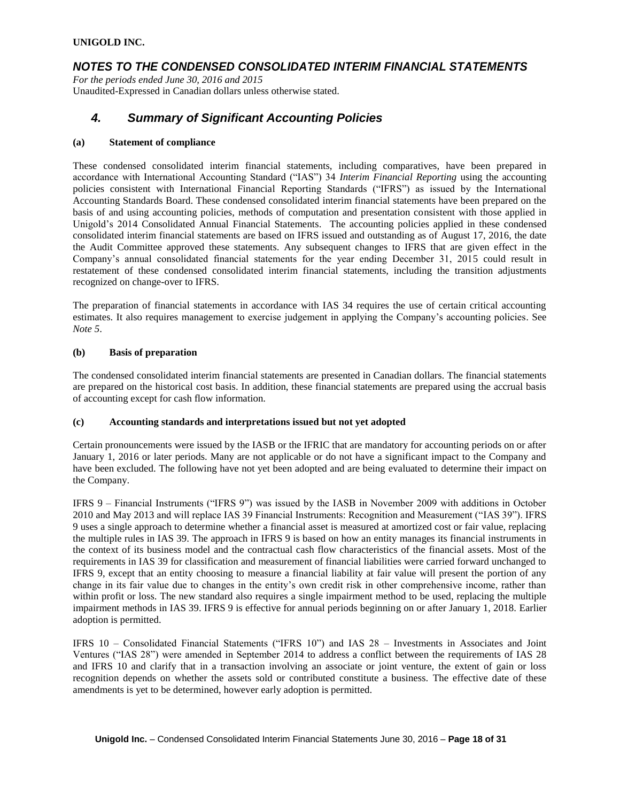### *NOTES TO THE CONDENSED CONSOLIDATED INTERIM FINANCIAL STATEMENTS*

*For the periods ended June 30, 2016 and 2015* Unaudited-Expressed in Canadian dollars unless otherwise stated.

### *4. Summary of Significant Accounting Policies*

#### **(a) Statement of compliance**

These condensed consolidated interim financial statements, including comparatives, have been prepared in accordance with International Accounting Standard ("IAS") 34 *Interim Financial Reporting* using the accounting policies consistent with International Financial Reporting Standards ("IFRS") as issued by the International Accounting Standards Board. These condensed consolidated interim financial statements have been prepared on the basis of and using accounting policies, methods of computation and presentation consistent with those applied in Unigold's 2014 Consolidated Annual Financial Statements. The accounting policies applied in these condensed consolidated interim financial statements are based on IFRS issued and outstanding as of August 17, 2016, the date the Audit Committee approved these statements. Any subsequent changes to IFRS that are given effect in the Company's annual consolidated financial statements for the year ending December 31, 2015 could result in restatement of these condensed consolidated interim financial statements, including the transition adjustments recognized on change-over to IFRS.

The preparation of financial statements in accordance with IAS 34 requires the use of certain critical accounting estimates. It also requires management to exercise judgement in applying the Company's accounting policies. See *Note 5*.

#### **(b) Basis of preparation**

The condensed consolidated interim financial statements are presented in Canadian dollars. The financial statements are prepared on the historical cost basis. In addition, these financial statements are prepared using the accrual basis of accounting except for cash flow information.

#### **(c) Accounting standards and interpretations issued but not yet adopted**

Certain pronouncements were issued by the IASB or the IFRIC that are mandatory for accounting periods on or after January 1, 2016 or later periods. Many are not applicable or do not have a significant impact to the Company and have been excluded. The following have not yet been adopted and are being evaluated to determine their impact on the Company.

IFRS 9 – Financial Instruments ("IFRS 9") was issued by the IASB in November 2009 with additions in October 2010 and May 2013 and will replace IAS 39 Financial Instruments: Recognition and Measurement ("IAS 39"). IFRS 9 uses a single approach to determine whether a financial asset is measured at amortized cost or fair value, replacing the multiple rules in IAS 39. The approach in IFRS 9 is based on how an entity manages its financial instruments in the context of its business model and the contractual cash flow characteristics of the financial assets. Most of the requirements in IAS 39 for classification and measurement of financial liabilities were carried forward unchanged to IFRS 9, except that an entity choosing to measure a financial liability at fair value will present the portion of any change in its fair value due to changes in the entity's own credit risk in other comprehensive income, rather than within profit or loss. The new standard also requires a single impairment method to be used, replacing the multiple impairment methods in IAS 39. IFRS 9 is effective for annual periods beginning on or after January 1, 2018. Earlier adoption is permitted.

IFRS 10 – Consolidated Financial Statements ("IFRS 10") and IAS 28 – Investments in Associates and Joint Ventures ("IAS 28") were amended in September 2014 to address a conflict between the requirements of IAS 28 and IFRS 10 and clarify that in a transaction involving an associate or joint venture, the extent of gain or loss recognition depends on whether the assets sold or contributed constitute a business. The effective date of these amendments is yet to be determined, however early adoption is permitted.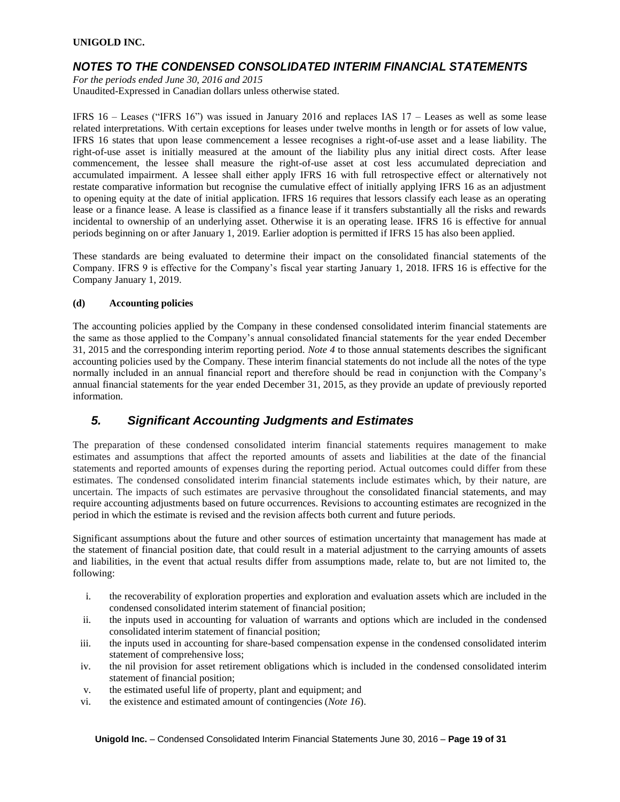### *NOTES TO THE CONDENSED CONSOLIDATED INTERIM FINANCIAL STATEMENTS*

*For the periods ended June 30, 2016 and 2015*

Unaudited-Expressed in Canadian dollars unless otherwise stated.

IFRS 16 – Leases ("IFRS 16") was issued in January 2016 and replaces IAS 17 – Leases as well as some lease related interpretations. With certain exceptions for leases under twelve months in length or for assets of low value, IFRS 16 states that upon lease commencement a lessee recognises a right-of-use asset and a lease liability. The right-of-use asset is initially measured at the amount of the liability plus any initial direct costs. After lease commencement, the lessee shall measure the right-of-use asset at cost less accumulated depreciation and accumulated impairment. A lessee shall either apply IFRS 16 with full retrospective effect or alternatively not restate comparative information but recognise the cumulative effect of initially applying IFRS 16 as an adjustment to opening equity at the date of initial application. IFRS 16 requires that lessors classify each lease as an operating lease or a finance lease. A lease is classified as a finance lease if it transfers substantially all the risks and rewards incidental to ownership of an underlying asset. Otherwise it is an operating lease. IFRS 16 is effective for annual periods beginning on or after January 1, 2019. Earlier adoption is permitted if IFRS 15 has also been applied.

These standards are being evaluated to determine their impact on the consolidated financial statements of the Company. IFRS 9 is effective for the Company's fiscal year starting January 1, 2018. IFRS 16 is effective for the Company January 1, 2019.

### **(d) Accounting policies**

The accounting policies applied by the Company in these condensed consolidated interim financial statements are the same as those applied to the Company's annual consolidated financial statements for the year ended December 31, 2015 and the corresponding interim reporting period. *Note 4* to those annual statements describes the significant accounting policies used by the Company. These interim financial statements do not include all the notes of the type normally included in an annual financial report and therefore should be read in conjunction with the Company's annual financial statements for the year ended December 31, 2015, as they provide an update of previously reported information.

# *5. Significant Accounting Judgments and Estimates*

The preparation of these condensed consolidated interim financial statements requires management to make estimates and assumptions that affect the reported amounts of assets and liabilities at the date of the financial statements and reported amounts of expenses during the reporting period. Actual outcomes could differ from these estimates. The condensed consolidated interim financial statements include estimates which, by their nature, are uncertain. The impacts of such estimates are pervasive throughout the consolidated financial statements, and may require accounting adjustments based on future occurrences. Revisions to accounting estimates are recognized in the period in which the estimate is revised and the revision affects both current and future periods.

Significant assumptions about the future and other sources of estimation uncertainty that management has made at the statement of financial position date, that could result in a material adjustment to the carrying amounts of assets and liabilities, in the event that actual results differ from assumptions made, relate to, but are not limited to, the following:

- i. the recoverability of exploration properties and exploration and evaluation assets which are included in the condensed consolidated interim statement of financial position;
- ii. the inputs used in accounting for valuation of warrants and options which are included in the condensed consolidated interim statement of financial position;
- iii. the inputs used in accounting for share-based compensation expense in the condensed consolidated interim statement of comprehensive loss;
- iv. the nil provision for asset retirement obligations which is included in the condensed consolidated interim statement of financial position;
- v. the estimated useful life of property, plant and equipment; and
- vi. the existence and estimated amount of contingencies (*Note 16*).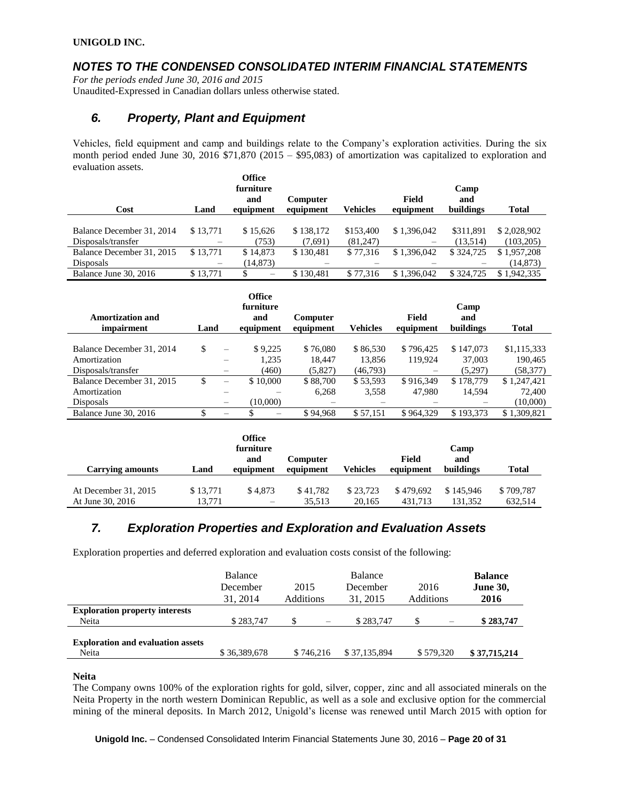# *NOTES TO THE CONDENSED CONSOLIDATED INTERIM FINANCIAL STATEMENTS*

*For the periods ended June 30, 2016 and 2015* Unaudited-Expressed in Canadian dollars unless otherwise stated.

# *6. Property, Plant and Equipment*

Vehicles, field equipment and camp and buildings relate to the Company's exploration activities. During the six month period ended June 30, 2016 \$71,870 (2015 – \$95,083) of amortization was capitalized to exploration and evaluation assets.

| Cost                      | Land                     | <b>Office</b><br>furniture<br>and<br>equipment | Computer<br>equipment | <b>Vehicles</b> | Field<br>equipment | Camp<br>and<br>buildings | Total       |
|---------------------------|--------------------------|------------------------------------------------|-----------------------|-----------------|--------------------|--------------------------|-------------|
| Balance December 31, 2014 | \$13,771                 | \$15.626                                       | \$138,172             | \$153,400       | \$1,396,042        | \$311.891                | \$2,028,902 |
| Disposals/transfer        |                          | (753)                                          | (7,691)               | (81,247)        |                    | (13.514)                 | (103.205)   |
| Balance December 31, 2015 | \$13,771                 | \$14,873                                       | \$130.481             | \$77,316        | \$1,396,042        | \$324,725                | \$1.957.208 |
| <b>Disposals</b>          | $\overline{\phantom{0}}$ | (14, 873)                                      |                       |                 |                    |                          | (14, 873)   |
| Balance June 30, 2016     | \$13.771                 | $\overline{\phantom{0}}$                       | \$130.481             | \$77,316        | \$1,396,042        | \$324,725                | \$1.942,335 |

| Amortization and<br>impairment | Land |                          | Office<br>furniture<br>and<br>equipment | <b>Computer</b><br>equipment | <b>Vehicles</b> | Field<br>equipment | Camp<br>and<br>buildings | <b>Total</b> |
|--------------------------------|------|--------------------------|-----------------------------------------|------------------------------|-----------------|--------------------|--------------------------|--------------|
|                                |      |                          |                                         |                              |                 |                    |                          |              |
| Balance December 31, 2014      | \$   | -                        | \$9,225                                 | \$76,080                     | \$86,530        | \$796,425          | \$147,073                | \$1,115,333  |
| Amortization                   |      |                          | 1.235                                   | 18.447                       | 13.856          | 119.924            | 37,003                   | 190.465      |
| Disposals/transfer             |      | -                        | (460)                                   | (5,827)                      | (46,793)        |                    | (5,297)                  | (58, 377)    |
| Balance December 31, 2015      | S    | $\overline{\phantom{0}}$ | \$10,000                                | \$88,700                     | \$53,593        | \$916.349          | \$178,779                | \$1,247,421  |
| Amortization                   |      |                          |                                         | 6,268                        | 3,558           | 47.980             | 14.594                   | 72,400       |
| <b>Disposals</b>               |      |                          | (10,000)                                |                              |                 |                    |                          | (10,000)     |
| Balance June 30, 2016          |      |                          |                                         | \$94.968                     | \$57.151        | \$964,329          | \$193,373                | \$1.309.821  |

|                                          |                    | Office<br>furniture<br>and          | Computer           |                    | Field                | Camp<br>and          |                      |
|------------------------------------------|--------------------|-------------------------------------|--------------------|--------------------|----------------------|----------------------|----------------------|
| <b>Carrying amounts</b>                  | Land               | equipment                           | equipment          | Vehicles           | equipment            | buildings            | <b>Total</b>         |
| At December 31, 2015<br>At June 30, 2016 | \$13.771<br>13.771 | \$4.873<br>$\overline{\phantom{0}}$ | \$41,782<br>35.513 | \$23.723<br>20.165 | \$479,692<br>431.713 | \$145,946<br>131.352 | \$709.787<br>632.514 |

# *7. Exploration Properties and Exploration and Evaluation Assets*

Exploration properties and deferred exploration and evaluation costs consist of the following:

|                                                   | Balance<br>December<br>31, 2014 | 2015<br>Additions              | <b>Balance</b><br>December<br>31, 2015 | 2016<br>Additions | <b>Balance</b><br><b>June 30,</b><br>2016 |
|---------------------------------------------------|---------------------------------|--------------------------------|----------------------------------------|-------------------|-------------------------------------------|
| <b>Exploration property interests</b><br>Neita    | \$283,747                       | -S<br>$\overline{\phantom{m}}$ | \$283,747                              | $\qquad \qquad$   | \$283,747                                 |
| <b>Exploration and evaluation assets</b><br>Neita | \$36,389,678                    | \$746.216                      | \$37,135,894                           | \$579,320         | \$37,715,214                              |

### **Neita**

The Company owns 100% of the exploration rights for gold, silver, copper, zinc and all associated minerals on the Neita Property in the north western Dominican Republic, as well as a sole and exclusive option for the commercial mining of the mineral deposits. In March 2012, Unigold's license was renewed until March 2015 with option for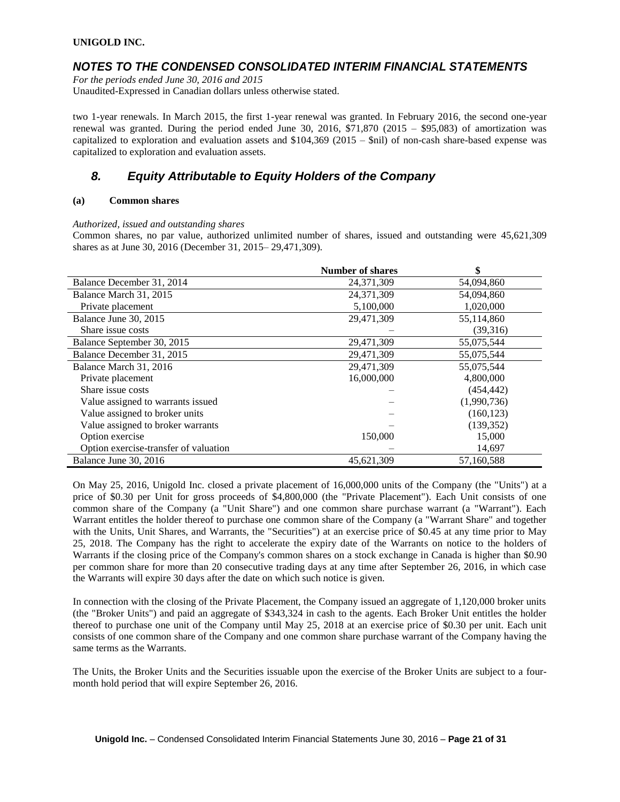### *NOTES TO THE CONDENSED CONSOLIDATED INTERIM FINANCIAL STATEMENTS*

*For the periods ended June 30, 2016 and 2015*

Unaudited-Expressed in Canadian dollars unless otherwise stated.

two 1-year renewals. In March 2015, the first 1-year renewal was granted. In February 2016, the second one-year renewal was granted. During the period ended June 30, 2016,  $$71,870$  (2015 – \$95,083) of amortization was capitalized to exploration and evaluation assets and \$104,369 (2015 – \$nil) of non-cash share-based expense was capitalized to exploration and evaluation assets.

# *8. Equity Attributable to Equity Holders of the Company*

### **(a) Common shares**

*Authorized, issued and outstanding shares*

Common shares, no par value, authorized unlimited number of shares, issued and outstanding were 45,621,309 shares as at June 30, 2016 (December 31, 2015– 29,471,309).

|                                       | <b>Number of shares</b> | \$          |
|---------------------------------------|-------------------------|-------------|
| Balance December 31, 2014             | 24, 371, 309            | 54,094,860  |
| Balance March 31, 2015                | 24, 371, 309            | 54,094,860  |
| Private placement                     | 5,100,000               | 1,020,000   |
| Balance June 30, 2015                 | 29,471,309              | 55,114,860  |
| Share issue costs                     |                         | (39,316)    |
| Balance September 30, 2015            | 29,471,309              | 55,075,544  |
| Balance December 31, 2015             | 29,471,309              | 55,075,544  |
| Balance March 31, 2016                | 29,471,309              | 55,075,544  |
| Private placement                     | 16,000,000              | 4,800,000   |
| Share issue costs                     |                         | (454, 442)  |
| Value assigned to warrants issued     |                         | (1,990,736) |
| Value assigned to broker units        |                         | (160, 123)  |
| Value assigned to broker warrants     |                         | (139, 352)  |
| Option exercise                       | 150,000                 | 15,000      |
| Option exercise-transfer of valuation |                         | 14,697      |
| Balance June 30, 2016                 | 45,621,309              | 57,160,588  |

On May 25, 2016, Unigold Inc. closed a private placement of 16,000,000 units of the Company (the "Units") at a price of \$0.30 per Unit for gross proceeds of \$4,800,000 (the "Private Placement"). Each Unit consists of one common share of the Company (a "Unit Share") and one common share purchase warrant (a "Warrant"). Each Warrant entitles the holder thereof to purchase one common share of the Company (a "Warrant Share" and together with the Units, Unit Shares, and Warrants, the "Securities") at an exercise price of \$0.45 at any time prior to May 25, 2018. The Company has the right to accelerate the expiry date of the Warrants on notice to the holders of Warrants if the closing price of the Company's common shares on a stock exchange in Canada is higher than \$0.90 per common share for more than 20 consecutive trading days at any time after September 26, 2016, in which case the Warrants will expire 30 days after the date on which such notice is given.

In connection with the closing of the Private Placement, the Company issued an aggregate of 1,120,000 broker units (the "Broker Units") and paid an aggregate of \$343,324 in cash to the agents. Each Broker Unit entitles the holder thereof to purchase one unit of the Company until May 25, 2018 at an exercise price of \$0.30 per unit. Each unit consists of one common share of the Company and one common share purchase warrant of the Company having the same terms as the Warrants.

The Units, the Broker Units and the Securities issuable upon the exercise of the Broker Units are subject to a fourmonth hold period that will expire September 26, 2016.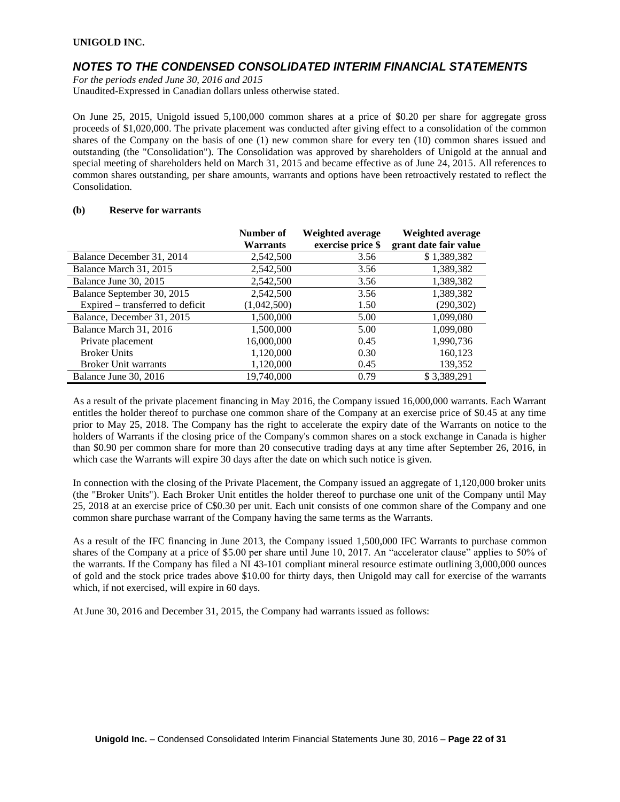### *NOTES TO THE CONDENSED CONSOLIDATED INTERIM FINANCIAL STATEMENTS*

*For the periods ended June 30, 2016 and 2015*

Unaudited-Expressed in Canadian dollars unless otherwise stated.

On June 25, 2015, Unigold issued 5,100,000 common shares at a price of \$0.20 per share for aggregate gross proceeds of \$1,020,000. The private placement was conducted after giving effect to a consolidation of the common shares of the Company on the basis of one (1) new common share for every ten (10) common shares issued and outstanding (the "Consolidation"). The Consolidation was approved by shareholders of Unigold at the annual and special meeting of shareholders held on March 31, 2015 and became effective as of June 24, 2015. All references to common shares outstanding, per share amounts, warrants and options have been retroactively restated to reflect the Consolidation.

#### **(b) Reserve for warrants**

|                                  | Number of   | Weighted average  | Weighted average      |
|----------------------------------|-------------|-------------------|-----------------------|
|                                  | Warrants    | exercise price \$ | grant date fair value |
| Balance December 31, 2014        | 2,542,500   | 3.56              | \$1,389,382           |
| Balance March 31, 2015           | 2,542,500   | 3.56              | 1,389,382             |
| Balance June 30, 2015            | 2,542,500   | 3.56              | 1,389,382             |
| Balance September 30, 2015       | 2,542,500   | 3.56              | 1,389,382             |
| Expired – transferred to deficit | (1,042,500) | 1.50              | (290, 302)            |
| Balance, December 31, 2015       | 1,500,000   | 5.00              | 1,099,080             |
| Balance March 31, 2016           | 1,500,000   | 5.00              | 1,099,080             |
| Private placement                | 16,000,000  | 0.45              | 1,990,736             |
| <b>Broker Units</b>              | 1,120,000   | 0.30              | 160,123               |
| <b>Broker Unit warrants</b>      | 1,120,000   | 0.45              | 139,352               |
| Balance June 30, 2016            | 19,740,000  | 0.79              | \$3.389.291           |

As a result of the private placement financing in May 2016, the Company issued 16,000,000 warrants. Each Warrant entitles the holder thereof to purchase one common share of the Company at an exercise price of \$0.45 at any time prior to May 25, 2018. The Company has the right to accelerate the expiry date of the Warrants on notice to the holders of Warrants if the closing price of the Company's common shares on a stock exchange in Canada is higher than \$0.90 per common share for more than 20 consecutive trading days at any time after September 26, 2016, in which case the Warrants will expire 30 days after the date on which such notice is given.

In connection with the closing of the Private Placement, the Company issued an aggregate of 1,120,000 broker units (the "Broker Units"). Each Broker Unit entitles the holder thereof to purchase one unit of the Company until May 25, 2018 at an exercise price of C\$0.30 per unit. Each unit consists of one common share of the Company and one common share purchase warrant of the Company having the same terms as the Warrants.

As a result of the IFC financing in June 2013, the Company issued 1,500,000 IFC Warrants to purchase common shares of the Company at a price of \$5.00 per share until June 10, 2017. An "accelerator clause" applies to 50% of the warrants. If the Company has filed a NI 43-101 compliant mineral resource estimate outlining 3,000,000 ounces of gold and the stock price trades above \$10.00 for thirty days, then Unigold may call for exercise of the warrants which, if not exercised, will expire in 60 days.

At June 30, 2016 and December 31, 2015, the Company had warrants issued as follows: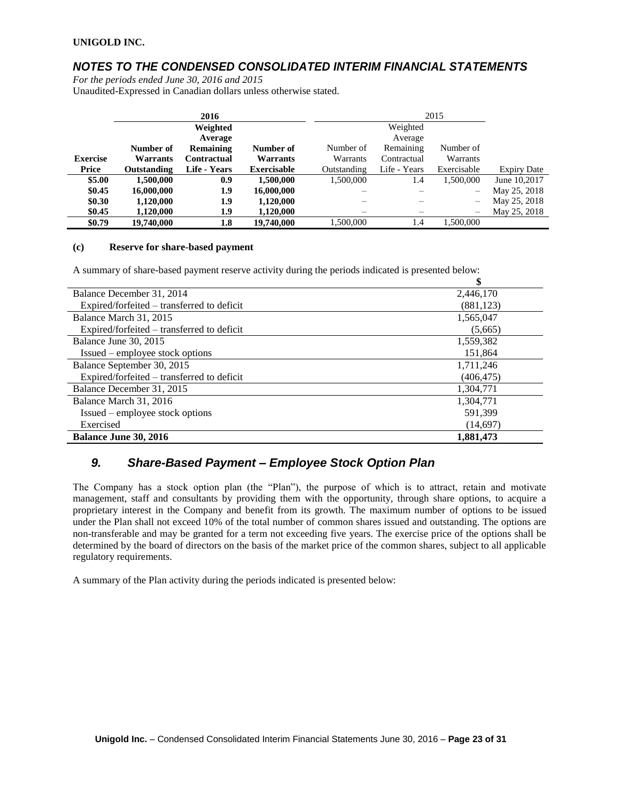## *NOTES TO THE CONDENSED CONSOLIDATED INTERIM FINANCIAL STATEMENTS*

*For the periods ended June 30, 2016 and 2015*

Unaudited-Expressed in Canadian dollars unless otherwise stated.

|                 |                    | 2016               |                    |             | 2015         |                          |                    |
|-----------------|--------------------|--------------------|--------------------|-------------|--------------|--------------------------|--------------------|
|                 |                    | Weighted           |                    |             | Weighted     |                          |                    |
|                 |                    | Average            |                    |             | Average      |                          |                    |
|                 | Number of          | Remaining          | Number of          | Number of   | Remaining    | Number of                |                    |
| <b>Exercise</b> | Warrants           | <b>Contractual</b> | Warrants           | Warrants    | Contractual  | Warrants                 |                    |
| Price           | <b>Outstanding</b> | Life - Years       | <b>Exercisable</b> | Outstanding | Life - Years | Exercisable              | <b>Expiry Date</b> |
| \$5.00          | 1,500,000          | 0.9                | 1,500,000          | 1.500.000   | 1.4          | 1,500,000                | June 10.2017       |
| \$0.45          | 16,000,000         | 1.9                | 16,000,000         |             |              |                          | May 25, 2018       |
| \$0.30          | 1,120,000          | 1.9                | 1,120,000          |             |              | $\overline{\phantom{0}}$ | May 25, 2018       |
| \$0.45          | 1.120.000          | 1.9                | 1.120.000          |             |              | —                        | May 25, 2018       |
| \$0.79          | 19,740,000         | $1.8\,$            | 19,740,000         | .500.000    | 1.4          | 1.500.000                |                    |

#### **(c) Reserve for share-based payment**

A summary of share-based payment reserve activity during the periods indicated is presented below:

|                                            | \$         |
|--------------------------------------------|------------|
| Balance December 31, 2014                  | 2,446,170  |
| Expired/forfeited – transferred to deficit | (881, 123) |
| Balance March 31, 2015                     | 1,565,047  |
| Expired/forfeited – transferred to deficit | (5,665)    |
| Balance June 30, 2015                      | 1,559,382  |
| Issued – employee stock options            | 151,864    |
| Balance September 30, 2015                 | 1,711,246  |
| Expired/forfeited – transferred to deficit | (406, 475) |
| Balance December 31, 2015                  | 1,304,771  |
| Balance March 31, 2016                     | 1,304,771  |
| Issued – employee stock options            | 591.399    |
| Exercised                                  | (14,697)   |
| <b>Balance June 30, 2016</b>               | 1,881,473  |

### *9. Share-Based Payment – Employee Stock Option Plan*

The Company has a stock option plan (the "Plan"), the purpose of which is to attract, retain and motivate management, staff and consultants by providing them with the opportunity, through share options, to acquire a proprietary interest in the Company and benefit from its growth. The maximum number of options to be issued under the Plan shall not exceed 10% of the total number of common shares issued and outstanding. The options are non-transferable and may be granted for a term not exceeding five years. The exercise price of the options shall be determined by the board of directors on the basis of the market price of the common shares, subject to all applicable regulatory requirements.

A summary of the Plan activity during the periods indicated is presented below: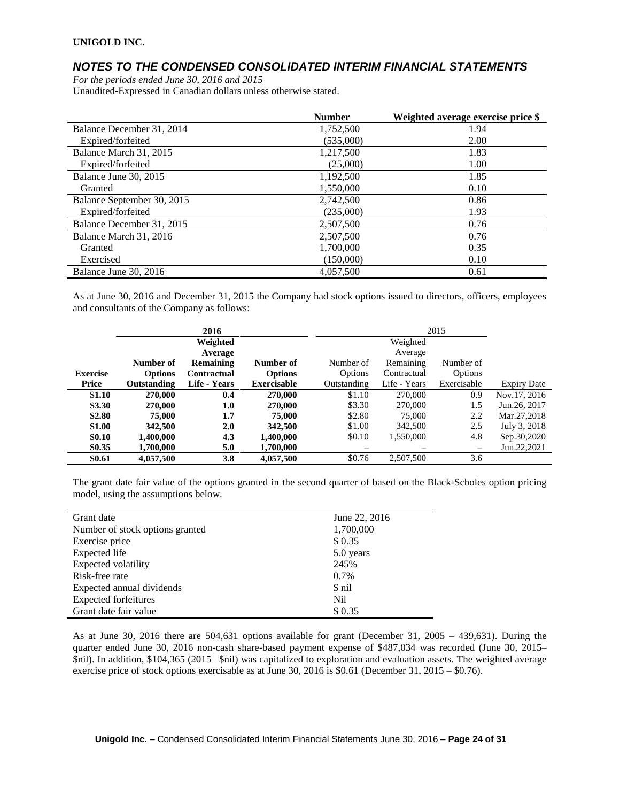### *NOTES TO THE CONDENSED CONSOLIDATED INTERIM FINANCIAL STATEMENTS*

*For the periods ended June 30, 2016 and 2015* Unaudited-Expressed in Canadian dollars unless otherwise stated.

|                            | <b>Number</b> | Weighted average exercise price \$ |
|----------------------------|---------------|------------------------------------|
| Balance December 31, 2014  | 1,752,500     | 1.94                               |
| Expired/forfeited          | (535,000)     | 2.00                               |
| Balance March 31, 2015     | 1,217,500     | 1.83                               |
| Expired/forfeited          | (25,000)      | 1.00                               |
| Balance June 30, 2015      | 1.192.500     | 1.85                               |
| Granted                    | 1,550,000     | 0.10                               |
| Balance September 30, 2015 | 2,742,500     | 0.86                               |
| Expired/forfeited          | (235,000)     | 1.93                               |
| Balance December 31, 2015  | 2,507,500     | 0.76                               |
| Balance March 31, 2016     | 2,507,500     | 0.76                               |
| Granted                    | 1,700,000     | 0.35                               |
| Exercised                  | (150,000)     | 0.10                               |
| Balance June 30, 2016      | 4,057,500     | 0.61                               |

As at June 30, 2016 and December 31, 2015 the Company had stock options issued to directors, officers, employees and consultants of the Company as follows:

|                 |                | 2016               |                    |             |              | 2015            |                    |
|-----------------|----------------|--------------------|--------------------|-------------|--------------|-----------------|--------------------|
|                 |                | Weighted           |                    |             | Weighted     |                 |                    |
|                 |                | Average            |                    |             | Average      |                 |                    |
|                 | Number of      | Remaining          | Number of          | Number of   | Remaining    | Number of       |                    |
| <b>Exercise</b> | <b>Options</b> | <b>Contractual</b> | <b>Options</b>     | Options     | Contractual  | <b>Options</b>  |                    |
| Price           | Outstanding    | Life - Years       | <b>Exercisable</b> | Outstanding | Life - Years | Exercisable     | <b>Expiry Date</b> |
| \$1.10          | 270,000        | 0.4                | 270,000            | \$1.10      | 270,000      | 0.9             | Nov.17, 2016       |
| \$3.30          | 270,000        | 1.0                | 270,000            | \$3.30      | 270,000      | 1.5             | Jun. 26, 2017      |
| \$2.80          | 75,000         | 1.7                | 75,000             | \$2.80      | 75,000       | 2.2             | Mar.27,2018        |
| \$1.00          | 342,500        | 2.0                | 342,500            | \$1.00      | 342,500      | 2.5             | July 3, 2018       |
| \$0.10          | 1,400,000      | 4.3                | 1,400,000          | \$0.10      | 1,550,000    | 4.8             | Sep.30,2020        |
| \$0.35          | 1,700,000      | 5.0                | 1,700,000          |             |              | $\qquad \qquad$ | Jun.22,2021        |
| \$0.61          | 4,057,500      | 3.8                | 4,057,500          | \$0.76      | 2,507,500    | 3.6             |                    |

The grant date fair value of the options granted in the second quarter of based on the Black-Scholes option pricing model, using the assumptions below.

As at June 30, 2016 there are 504,631 options available for grant (December 31, 2005 – 439,631). During the quarter ended June 30, 2016 non-cash share-based payment expense of \$487,034 was recorded (June 30, 2015– \$nil). In addition, \$104,365 (2015– \$nil) was capitalized to exploration and evaluation assets. The weighted average exercise price of stock options exercisable as at June 30, 2016 is \$0.61 (December 31, 2015 – \$0.76).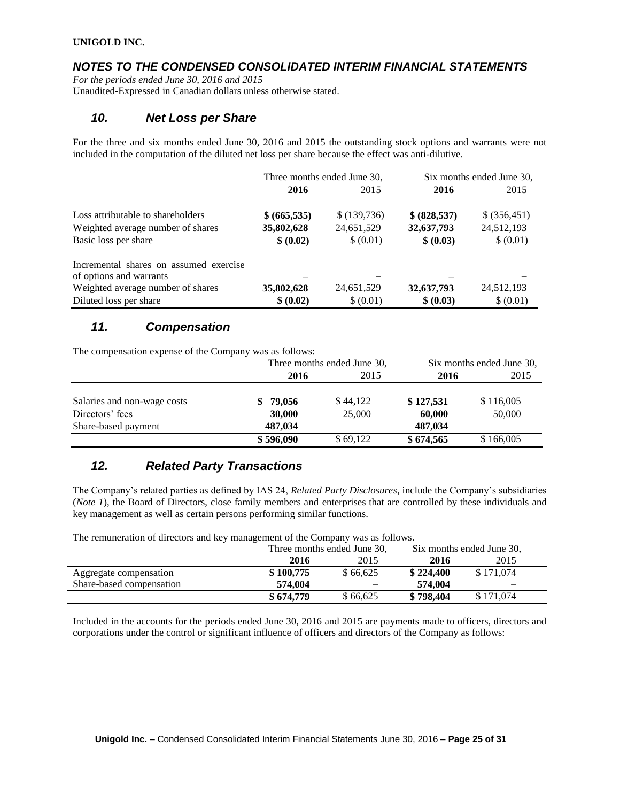# *NOTES TO THE CONDENSED CONSOLIDATED INTERIM FINANCIAL STATEMENTS*

*For the periods ended June 30, 2016 and 2015* Unaudited-Expressed in Canadian dollars unless otherwise stated.

### *10. Net Loss per Share*

For the three and six months ended June 30, 2016 and 2015 the outstanding stock options and warrants were not included in the computation of the diluted net loss per share because the effect was anti-dilutive.

|                                        |              | Three months ended June 30, | Six months ended June 30, |               |
|----------------------------------------|--------------|-----------------------------|---------------------------|---------------|
|                                        | 2016         | 2015                        | 2016                      | 2015          |
|                                        |              |                             |                           |               |
| Loss attributable to shareholders      | \$ (665,535) | \$(139,736)                 | \$ (828, 537)             | \$ (356, 451) |
| Weighted average number of shares      | 35,802,628   | 24,651,529                  | 32,637,793                | 24,512,193    |
| Basic loss per share                   | \$ (0.02)    | \$ (0.01)                   | \$ (0.03)                 | \$ (0.01)     |
| Incremental shares on assumed exercise |              |                             |                           |               |
| of options and warrants                |              |                             |                           |               |
| Weighted average number of shares      | 35,802,628   | 24,651,529                  | 32,637,793                | 24,512,193    |
| Diluted loss per share                 | \$ (0.02)    | \$ (0.01)                   | \$ (0.03)                 | \$ (0.01)     |

# *11. Compensation*

The compensation expense of the Company was as follows:

|                                                | Three months ended June 30, |                    |                     | Six months ended June 30, |
|------------------------------------------------|-----------------------------|--------------------|---------------------|---------------------------|
|                                                | 2016                        | 2015               | 2016                | 2015                      |
| Salaries and non-wage costs<br>Directors' fees | \$79,056<br>30,000          | \$44,122<br>25,000 | \$127,531<br>60,000 | \$116,005<br>50,000       |
| Share-based payment                            | 487,034                     |                    | 487.034             |                           |
|                                                | \$596,090                   | \$69,122           | \$674,565           | \$166,005                 |

# *12. Related Party Transactions*

The Company's related parties as defined by IAS 24, *Related Party Disclosures*, include the Company's subsidiaries (*Note 1*), the Board of Directors, close family members and enterprises that are controlled by these individuals and key management as well as certain persons performing similar functions.

| The remaindant of alloctors and no priming efficint of the Company was as follows. | Three months ended June 30, |          |           | Six months ended June 30, |
|------------------------------------------------------------------------------------|-----------------------------|----------|-----------|---------------------------|
|                                                                                    | 2016                        | 2015     | 2016      | 2015                      |
| Aggregate compensation                                                             | \$100,775                   | \$66.625 | \$224,400 | \$171,074                 |
| Share-based compensation                                                           | 574,004                     |          | 574.004   |                           |
|                                                                                    | \$674,779                   | \$66.625 | \$798,404 | \$171,074                 |

The remuneration of directors and key management of the Company was as follows.

Included in the accounts for the periods ended June 30, 2016 and 2015 are payments made to officers, directors and corporations under the control or significant influence of officers and directors of the Company as follows: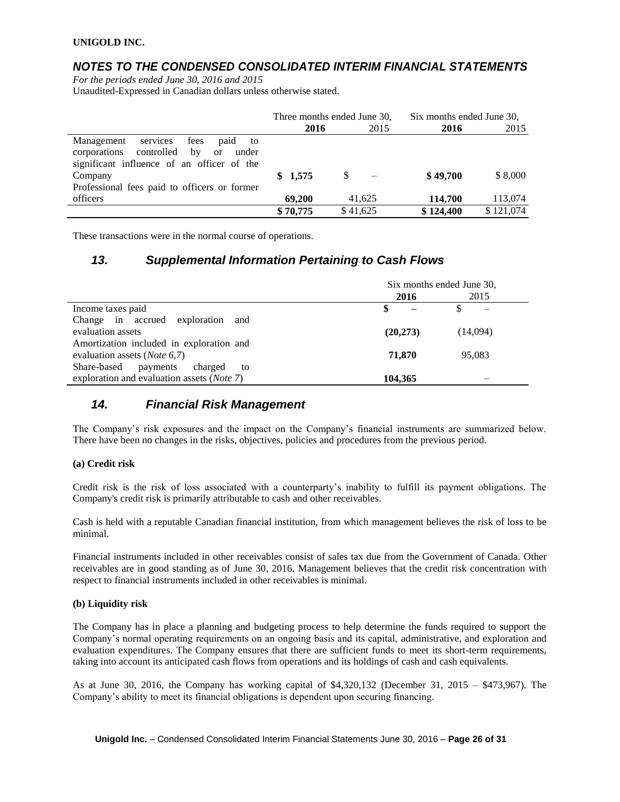## *NOTES TO THE CONDENSED CONSOLIDATED INTERIM FINANCIAL STATEMENTS*

*For the periods ended June 30, 2016 and 2015*

Unaudited-Expressed in Canadian dollars unless otherwise stated.

|                                                                                                                                                      | Three months ended June 30, |          | Six months ended June 30, |           |
|------------------------------------------------------------------------------------------------------------------------------------------------------|-----------------------------|----------|---------------------------|-----------|
|                                                                                                                                                      | 2016                        | 2015     | 2016                      | 2015      |
| Management<br>fees<br>services<br>paid<br>to<br>corporations<br>controlled<br>by<br>under<br><b>or</b><br>significant influence of an officer of the |                             |          |                           |           |
| Company<br>Professional fees paid to officers or former                                                                                              | \$1,575                     |          | \$49,700                  | \$8,000   |
| officers                                                                                                                                             | 69.200                      | 41.625   | 114,700                   | 113,074   |
|                                                                                                                                                      | \$70,775                    | \$41,625 | \$124,400                 | \$121,074 |

These transactions were in the normal course of operations.

### *13. Supplemental Information Pertaining to Cash Flows*

|                                                     | Six months ended June 30, |      |          |      |
|-----------------------------------------------------|---------------------------|------|----------|------|
|                                                     |                           | 2016 |          | 2015 |
| Income taxes paid                                   | S                         |      |          |      |
| Change in accrued exploration<br>and                |                           |      |          |      |
| evaluation assets                                   | (20, 273)                 |      | (14,094) |      |
| Amortization included in exploration and            |                           |      |          |      |
| evaluation assets ( <i>Note</i> 6,7)                | 71,870                    |      | 95,083   |      |
| Share-based<br>payments<br>charged<br>to            |                           |      |          |      |
| exploration and evaluation assets ( <i>Note 7</i> ) | 104,365                   |      |          |      |

### *14. Financial Risk Management*

The Company's risk exposures and the impact on the Company's financial instruments are summarized below. There have been no changes in the risks, objectives, policies and procedures from the previous period.

### **(a) Credit risk**

Credit risk is the risk of loss associated with a counterparty's inability to fulfill its payment obligations. The Company's credit risk is primarily attributable to cash and other receivables.

Cash is held with a reputable Canadian financial institution, from which management believes the risk of loss to be minimal.

Financial instruments included in other receivables consist of sales tax due from the Government of Canada. Other receivables are in good standing as of June 30, 2016. Management believes that the credit risk concentration with respect to financial instruments included in other receivables is minimal.

### **(b) Liquidity risk**

The Company has in place a planning and budgeting process to help determine the funds required to support the Company's normal operating requirements on an ongoing basis and its capital, administrative, and exploration and evaluation expenditures. The Company ensures that there are sufficient funds to meet its short-term requirements, taking into account its anticipated cash flows from operations and its holdings of cash and cash equivalents.

As at June 30, 2016, the Company has working capital of \$4,320,132 (December 31, 2015 – \$473,967). The Company's ability to meet its financial obligations is dependent upon securing financing.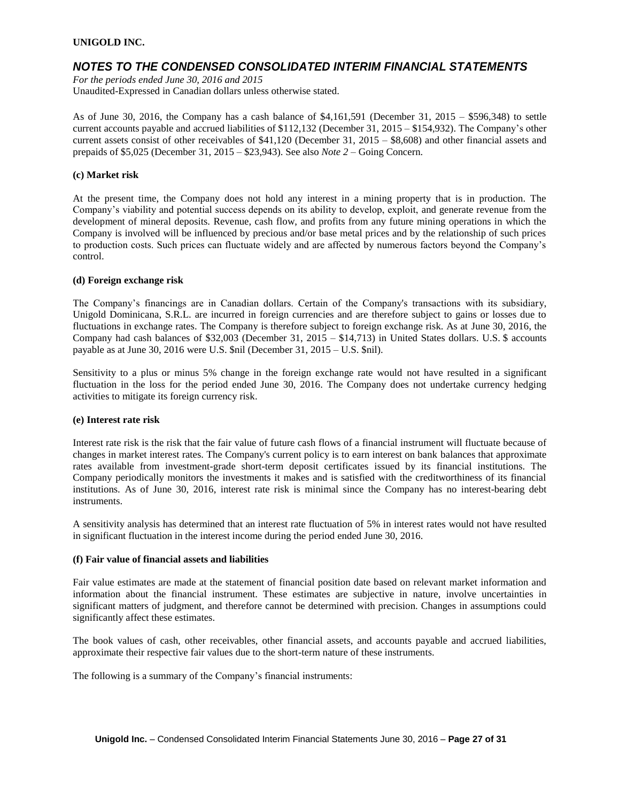### *NOTES TO THE CONDENSED CONSOLIDATED INTERIM FINANCIAL STATEMENTS*

*For the periods ended June 30, 2016 and 2015* Unaudited-Expressed in Canadian dollars unless otherwise stated.

As of June 30, 2016, the Company has a cash balance of \$4,161,591 (December 31, 2015 – \$596,348) to settle current accounts payable and accrued liabilities of \$112,132 (December 31, 2015 – \$154,932). The Company's other current assets consist of other receivables of \$41,120 (December 31, 2015 – \$8,608) and other financial assets and prepaids of \$5,025 (December 31, 2015 – \$23,943). See also *Note 2* – Going Concern.

#### **(c) Market risk**

At the present time, the Company does not hold any interest in a mining property that is in production. The Company's viability and potential success depends on its ability to develop, exploit, and generate revenue from the development of mineral deposits. Revenue, cash flow, and profits from any future mining operations in which the Company is involved will be influenced by precious and/or base metal prices and by the relationship of such prices to production costs. Such prices can fluctuate widely and are affected by numerous factors beyond the Company's control.

#### **(d) Foreign exchange risk**

The Company's financings are in Canadian dollars. Certain of the Company's transactions with its subsidiary, Unigold Dominicana, S.R.L. are incurred in foreign currencies and are therefore subject to gains or losses due to fluctuations in exchange rates. The Company is therefore subject to foreign exchange risk. As at June 30, 2016, the Company had cash balances of \$32,003 (December 31, 2015 – \$14,713) in United States dollars. U.S. \$ accounts payable as at June 30, 2016 were U.S. \$nil (December 31, 2015 – U.S. \$nil).

Sensitivity to a plus or minus 5% change in the foreign exchange rate would not have resulted in a significant fluctuation in the loss for the period ended June 30, 2016. The Company does not undertake currency hedging activities to mitigate its foreign currency risk.

#### **(e) Interest rate risk**

Interest rate risk is the risk that the fair value of future cash flows of a financial instrument will fluctuate because of changes in market interest rates. The Company's current policy is to earn interest on bank balances that approximate rates available from investment-grade short-term deposit certificates issued by its financial institutions. The Company periodically monitors the investments it makes and is satisfied with the creditworthiness of its financial institutions. As of June 30, 2016, interest rate risk is minimal since the Company has no interest-bearing debt instruments.

A sensitivity analysis has determined that an interest rate fluctuation of 5% in interest rates would not have resulted in significant fluctuation in the interest income during the period ended June 30, 2016.

#### **(f) Fair value of financial assets and liabilities**

Fair value estimates are made at the statement of financial position date based on relevant market information and information about the financial instrument. These estimates are subjective in nature, involve uncertainties in significant matters of judgment, and therefore cannot be determined with precision. Changes in assumptions could significantly affect these estimates.

The book values of cash, other receivables, other financial assets, and accounts payable and accrued liabilities, approximate their respective fair values due to the short-term nature of these instruments.

The following is a summary of the Company's financial instruments: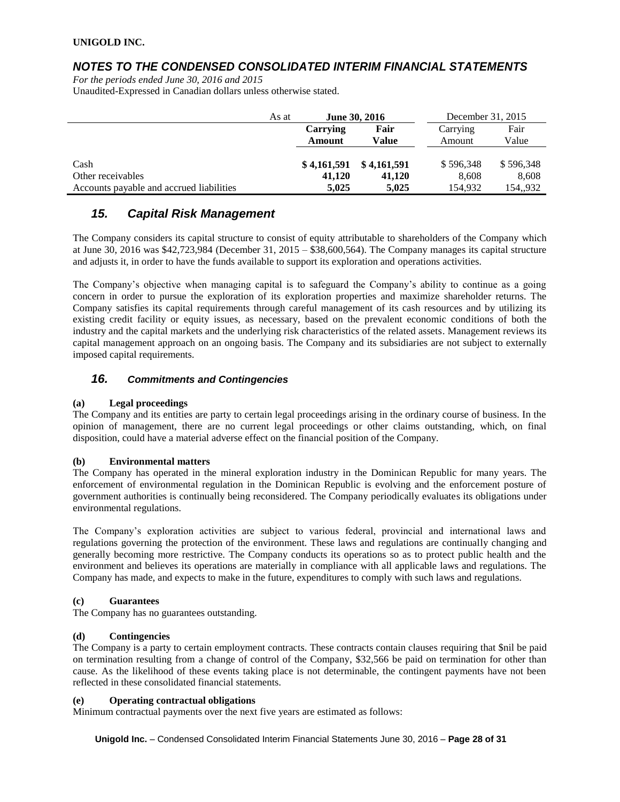### *NOTES TO THE CONDENSED CONSOLIDATED INTERIM FINANCIAL STATEMENTS*

*For the periods ended June 30, 2016 and 2015* Unaudited-Expressed in Canadian dollars unless otherwise stated.

|                                          | As at | <b>June 30, 2016</b> |             | December 31, 2015 |           |
|------------------------------------------|-------|----------------------|-------------|-------------------|-----------|
|                                          |       | Carrying             | Fair        | Carrying          | Fair      |
|                                          |       | Amount               | Value       | Amount            | Value     |
|                                          |       |                      |             |                   |           |
| Cash                                     |       | \$4,161,591          | \$4,161,591 | \$596.348         | \$596,348 |
| Other receivables                        |       | 41,120               | 41,120      | 8.608             | 8,608     |
| Accounts payable and accrued liabilities |       | 5,025                | 5.025       | 154.932           | 154,,932  |

### *15. Capital Risk Management*

The Company considers its capital structure to consist of equity attributable to shareholders of the Company which at June 30, 2016 was \$42,723,984 (December 31, 2015 – \$38,600,564). The Company manages its capital structure and adjusts it, in order to have the funds available to support its exploration and operations activities.

The Company's objective when managing capital is to safeguard the Company's ability to continue as a going concern in order to pursue the exploration of its exploration properties and maximize shareholder returns. The Company satisfies its capital requirements through careful management of its cash resources and by utilizing its existing credit facility or equity issues, as necessary, based on the prevalent economic conditions of both the industry and the capital markets and the underlying risk characteristics of the related assets. Management reviews its capital management approach on an ongoing basis. The Company and its subsidiaries are not subject to externally imposed capital requirements.

### *16. Commitments and Contingencies*

### **(a) Legal proceedings**

The Company and its entities are party to certain legal proceedings arising in the ordinary course of business. In the opinion of management, there are no current legal proceedings or other claims outstanding, which, on final disposition, could have a material adverse effect on the financial position of the Company.

### **(b) Environmental matters**

The Company has operated in the mineral exploration industry in the Dominican Republic for many years. The enforcement of environmental regulation in the Dominican Republic is evolving and the enforcement posture of government authorities is continually being reconsidered. The Company periodically evaluates its obligations under environmental regulations.

The Company's exploration activities are subject to various federal, provincial and international laws and regulations governing the protection of the environment. These laws and regulations are continually changing and generally becoming more restrictive. The Company conducts its operations so as to protect public health and the environment and believes its operations are materially in compliance with all applicable laws and regulations. The Company has made, and expects to make in the future, expenditures to comply with such laws and regulations.

### **(c) Guarantees**

The Company has no guarantees outstanding.

### **(d) Contingencies**

The Company is a party to certain employment contracts. These contracts contain clauses requiring that \$nil be paid on termination resulting from a change of control of the Company, \$32,566 be paid on termination for other than cause. As the likelihood of these events taking place is not determinable, the contingent payments have not been reflected in these consolidated financial statements.

### **(e) Operating contractual obligations**

Minimum contractual payments over the next five years are estimated as follows:

**Unigold Inc.** – Condensed Consolidated Interim Financial Statements June 30, 2016 – **Page 28 of 31**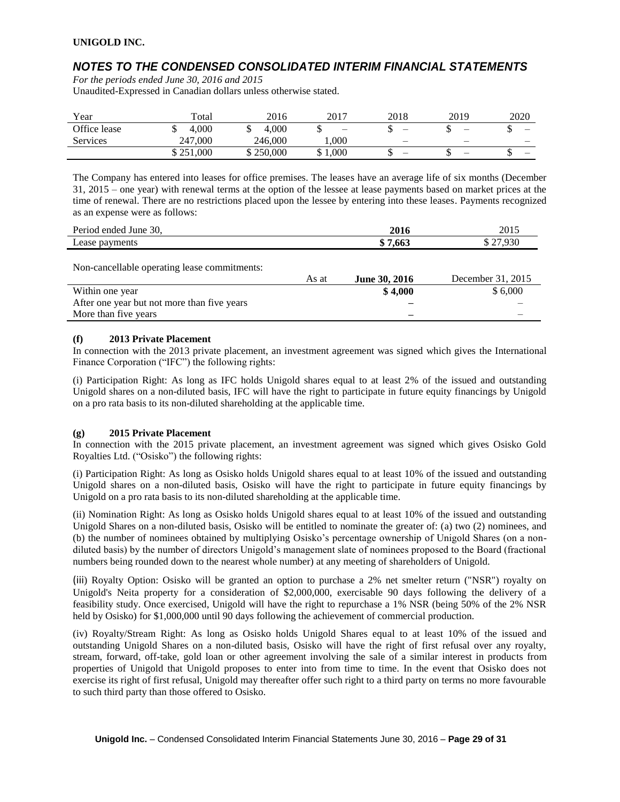# *NOTES TO THE CONDENSED CONSOLIDATED INTERIM FINANCIAL STATEMENTS*

*For the periods ended June 30, 2016 and 2015* Unaudited-Expressed in Canadian dollars unless otherwise stated.

| Year            | $_{\rm \tau total}$ | 2016      | 2017  | 2018                     | 2019                     | 2020 |
|-----------------|---------------------|-----------|-------|--------------------------|--------------------------|------|
| Office lease    | 4.000               | 4.000     | -     |                          | –                        |      |
| <b>Services</b> | 247,000             | 246,000   | 000.  | $\overline{\phantom{m}}$ | $\overline{\phantom{m}}$ |      |
|                 | \$251,000           | \$250,000 | 1.000 | -                        | $\overline{\phantom{a}}$ |      |

The Company has entered into leases for office premises. The leases have an average life of six months (December 31, 2015 – one year) with renewal terms at the option of the lessee at lease payments based on market prices at the time of renewal. There are no restrictions placed upon the lessee by entering into these leases. Payments recognized as an expense were as follows:

| Period ended June 30, | 2016    | 2015     |
|-----------------------|---------|----------|
| Lease payments        | \$7.663 | \$27.930 |
|                       |         |          |

Non-cancellable operating lease commitments:

|                                             | As at | <b>June 30, 2016</b> | December 31, 2015 |
|---------------------------------------------|-------|----------------------|-------------------|
| Within one year                             |       | \$4.000              | \$6,000           |
| After one year but not more than five years |       |                      |                   |
| More than five years                        |       | -                    |                   |

### **(f) 2013 Private Placement**

In connection with the 2013 private placement, an investment agreement was signed which gives the International Finance Corporation ("IFC") the following rights:

(i) Participation Right: As long as IFC holds Unigold shares equal to at least 2% of the issued and outstanding Unigold shares on a non-diluted basis, IFC will have the right to participate in future equity financings by Unigold on a pro rata basis to its non-diluted shareholding at the applicable time.

### **(g) 2015 Private Placement**

In connection with the 2015 private placement, an investment agreement was signed which gives Osisko Gold Royalties Ltd. ("Osisko") the following rights:

(i) Participation Right: As long as Osisko holds Unigold shares equal to at least 10% of the issued and outstanding Unigold shares on a non-diluted basis, Osisko will have the right to participate in future equity financings by Unigold on a pro rata basis to its non-diluted shareholding at the applicable time.

(ii) Nomination Right: As long as Osisko holds Unigold shares equal to at least 10% of the issued and outstanding Unigold Shares on a non-diluted basis, Osisko will be entitled to nominate the greater of: (a) two (2) nominees, and (b) the number of nominees obtained by multiplying Osisko's percentage ownership of Unigold Shares (on a nondiluted basis) by the number of directors Unigold's management slate of nominees proposed to the Board (fractional numbers being rounded down to the nearest whole number) at any meeting of shareholders of Unigold.

(iii) Royalty Option: Osisko will be granted an option to purchase a 2% net smelter return ("NSR") royalty on Unigold's Neita property for a consideration of \$2,000,000, exercisable 90 days following the delivery of a feasibility study. Once exercised, Unigold will have the right to repurchase a 1% NSR (being 50% of the 2% NSR held by Osisko) for \$1,000,000 until 90 days following the achievement of commercial production.

(iv) Royalty/Stream Right: As long as Osisko holds Unigold Shares equal to at least 10% of the issued and outstanding Unigold Shares on a non-diluted basis, Osisko will have the right of first refusal over any royalty, stream, forward, off-take, gold loan or other agreement involving the sale of a similar interest in products from properties of Unigold that Unigold proposes to enter into from time to time. In the event that Osisko does not exercise its right of first refusal, Unigold may thereafter offer such right to a third party on terms no more favourable to such third party than those offered to Osisko.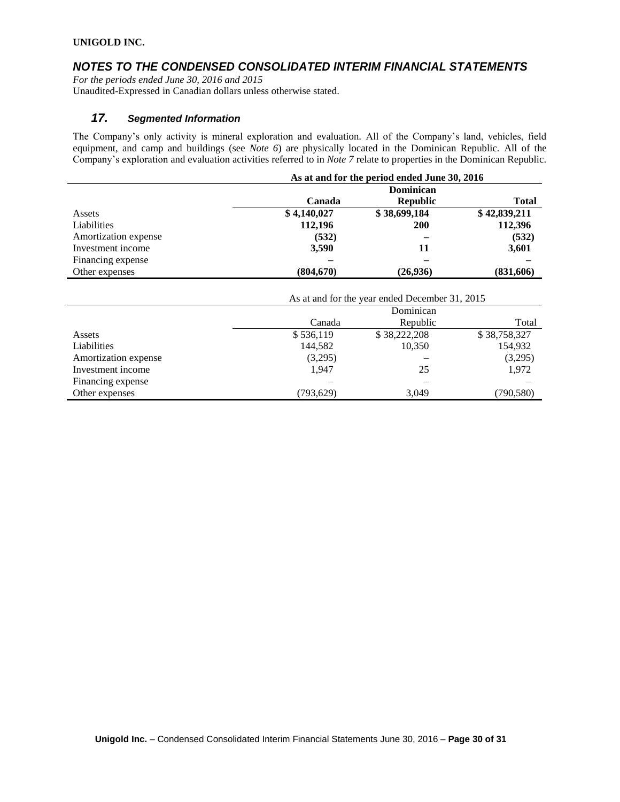### *NOTES TO THE CONDENSED CONSOLIDATED INTERIM FINANCIAL STATEMENTS*

*For the periods ended June 30, 2016 and 2015* Unaudited-Expressed in Canadian dollars unless otherwise stated.

### *17. Segmented Information*

The Company's only activity is mineral exploration and evaluation. All of the Company's land, vehicles, field equipment, and camp and buildings (see *Note 6*) are physically located in the Dominican Republic. All of the Company's exploration and evaluation activities referred to in *Note 7* relate to properties in the Dominican Republic.

|                      | As at and for the period ended June 30, 2016 |                 |              |  |  |
|----------------------|----------------------------------------------|-----------------|--------------|--|--|
|                      | Dominican                                    |                 |              |  |  |
|                      | Canada                                       | <b>Republic</b> | Total        |  |  |
| Assets               | \$4,140,027                                  | \$38,699,184    | \$42,839,211 |  |  |
| Liabilities          | 112,196                                      | <b>200</b>      | 112,396      |  |  |
| Amortization expense | (532)                                        |                 | (532)        |  |  |
| Investment income    | 3,590                                        | 11              | 3,601        |  |  |
| Financing expense    |                                              |                 |              |  |  |
| Other expenses       | (804, 670)                                   | (26,936)        | (831,606)    |  |  |

|                      | As at and for the year ended December 31, 2015 |              |              |  |  |
|----------------------|------------------------------------------------|--------------|--------------|--|--|
|                      | Dominican                                      |              |              |  |  |
|                      | Canada                                         | Republic     | Total        |  |  |
| Assets               | \$536,119                                      | \$38,222,208 | \$38,758,327 |  |  |
| Liabilities          | 144,582                                        | 10,350       | 154,932      |  |  |
| Amortization expense | (3,295)                                        |              | (3,295)      |  |  |
| Investment income    | 1.947                                          | 25           | 1,972        |  |  |
| Financing expense    |                                                |              |              |  |  |
| Other expenses       | (793,629)                                      | 3.049        | (790,580)    |  |  |